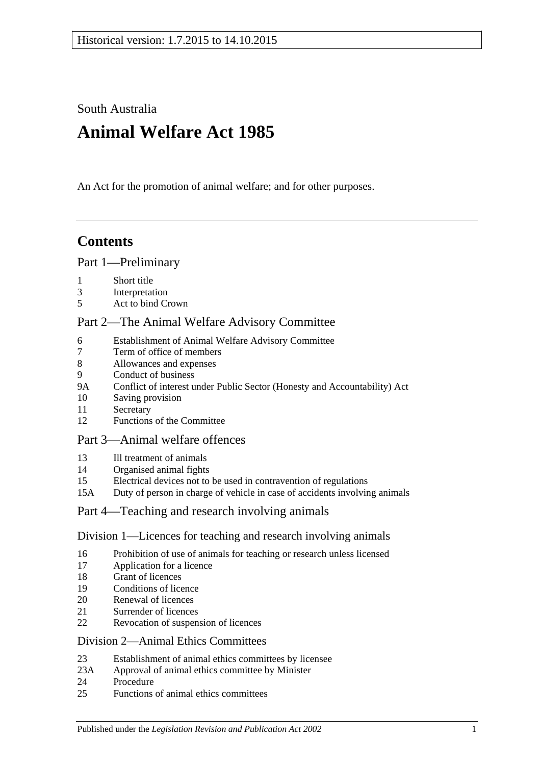South Australia

# **Animal Welfare Act 1985**

An Act for the promotion of animal welfare; and for other purposes.

# **Contents**

# [Part 1—Preliminary](#page-1-0)

- [Short title](#page-1-1)
- [Interpretation](#page-2-0)
- [Act to bind Crown](#page-3-0)

# [Part 2—The Animal Welfare Advisory Committee](#page-3-1)

- [Establishment of Animal Welfare Advisory Committee](#page-3-2)
- [Term of office of members](#page-4-0)<br>8 Allowances and expenses
- [Allowances and expenses](#page-4-1)
- [Conduct of business](#page-5-0)
- 9A [Conflict of interest under Public Sector \(Honesty and Accountability\) Act](#page-5-1)
- [Saving provision](#page-5-2)
- [Secretary](#page-5-3)
- [Functions of the Committee](#page-5-4)

# [Part 3—Animal welfare offences](#page-6-0)

- [Ill treatment of animals](#page-6-1)
- [Organised animal fights](#page-7-0)
- [Electrical devices not to be used in contravention of regulations](#page-8-0)
- 15A [Duty of person in charge of vehicle in case of accidents involving animals](#page-8-1)

# [Part 4—Teaching and research involving animals](#page-8-2)

# [Division 1—Licences for teaching and research involving animals](#page-8-3)

- [Prohibition of use of animals for teaching or research unless licensed](#page-8-4)
- [Application for a licence](#page-8-5)
- [Grant of licences](#page-9-0)
- [Conditions of licence](#page-9-1)
- [Renewal of licences](#page-10-0)
- [Surrender of licences](#page-10-1)
- [Revocation of suspension of licences](#page-10-2)

# [Division 2—Animal Ethics Committees](#page-10-3)

- [Establishment of animal ethics committees by licensee](#page-10-4)
- 23A [Approval of animal ethics committee by Minister](#page-11-0)
- [Procedure](#page-11-1)
- [Functions of animal ethics committees](#page-12-0)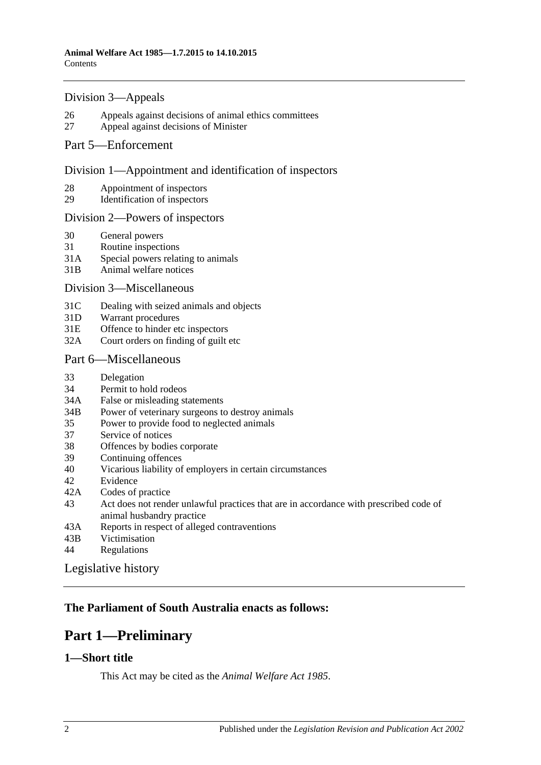### [Division 3—Appeals](#page-12-1)

- 26 [Appeals against decisions of animal ethics committees](#page-12-2)
- 27 [Appeal against decisions of Minister](#page-13-0)

### [Part 5—Enforcement](#page-13-1)

### [Division 1—Appointment and identification of inspectors](#page-13-2)

- 28 [Appointment of inspectors](#page-13-3)
- 29 [Identification of inspectors](#page-14-0)

### [Division 2—Powers of inspectors](#page-14-1)

- 30 [General powers](#page-14-2)
- 31 [Routine inspections](#page-16-0)
- 31A [Special powers relating to animals](#page-16-1)
- 31B [Animal welfare notices](#page-17-0)

#### [Division 3—Miscellaneous](#page-17-1)

- 31C [Dealing with seized animals and objects](#page-17-2)
- 31D [Warrant procedures](#page-18-0)
- 31E [Offence to hinder etc inspectors](#page-19-0)
- 32A [Court orders on finding of guilt etc](#page-20-0)

### [Part 6—Miscellaneous](#page-20-1)

- 33 [Delegation](#page-20-2)
- 34 [Permit to hold rodeos](#page-20-3)
- 34A [False or misleading statements](#page-21-0)
- 34B [Power of veterinary surgeons to destroy animals](#page-21-1)
- 35 [Power to provide food to neglected animals](#page-21-2)
- 37 [Service of notices](#page-21-3)
- 38 [Offences by bodies corporate](#page-21-4)
- 39 [Continuing offences](#page-22-0)
- 40 [Vicarious liability of employers in certain circumstances](#page-22-1)
- 42 [Evidence](#page-23-0)
- 42A [Codes of practice](#page-23-1)
- 43 [Act does not render unlawful practices that are in accordance with prescribed code of](#page-23-2)  [animal husbandry practice](#page-23-2)
- 43A [Reports in respect of alleged contraventions](#page-23-3)
- 43B [Victimisation](#page-23-4)
- 44 [Regulations](#page-24-0)

[Legislative history](#page-26-0)

# <span id="page-1-0"></span>**The Parliament of South Australia enacts as follows:**

# **Part 1—Preliminary**

### <span id="page-1-1"></span>**1—Short title**

This Act may be cited as the *Animal Welfare Act 1985*.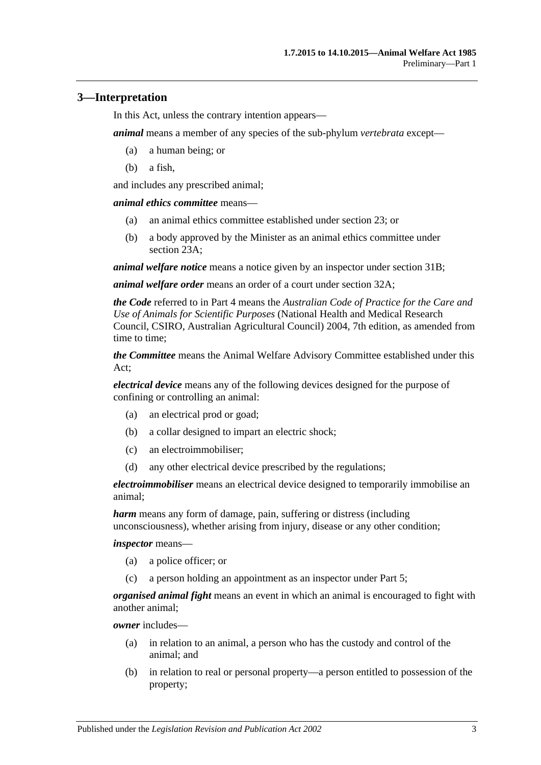# <span id="page-2-0"></span>**3—Interpretation**

In this Act, unless the contrary intention appears—

*animal* means a member of any species of the sub-phylum *vertebrata* except—

- (a) a human being; or
- (b) a fish,

and includes any prescribed animal;

*animal ethics committee* means—

- (a) an animal ethics committee established under [section](#page-10-4) 23; or
- (b) a body approved by the Minister as an animal ethics committee under [section](#page-11-0) 23A;

*animal welfare notice* means a notice given by an inspector under [section](#page-17-0) 31B;

*animal welfare order* means an order of a court under [section](#page-20-0) 32A;

*the Code* referred to in [Part 4](#page-8-2) means the *Australian Code of Practice for the Care and Use of Animals for Scientific Purposes* (National Health and Medical Research Council, CSIRO, Australian Agricultural Council) 2004, 7th edition, as amended from time to time;

*the Committee* means the Animal Welfare Advisory Committee established under this Act;

*electrical device* means any of the following devices designed for the purpose of confining or controlling an animal:

- (a) an electrical prod or goad;
- (b) a collar designed to impart an electric shock;
- (c) an electroimmobiliser;
- (d) any other electrical device prescribed by the regulations;

*electroimmobiliser* means an electrical device designed to temporarily immobilise an animal;

*harm* means any form of damage, pain, suffering or distress (including unconsciousness), whether arising from injury, disease or any other condition;

*inspector* means—

- (a) a police officer; or
- (c) a person holding an appointment as an inspector under [Part 5;](#page-13-1)

*organised animal fight* means an event in which an animal is encouraged to fight with another animal;

*owner* includes—

- (a) in relation to an animal, a person who has the custody and control of the animal; and
- (b) in relation to real or personal property—a person entitled to possession of the property;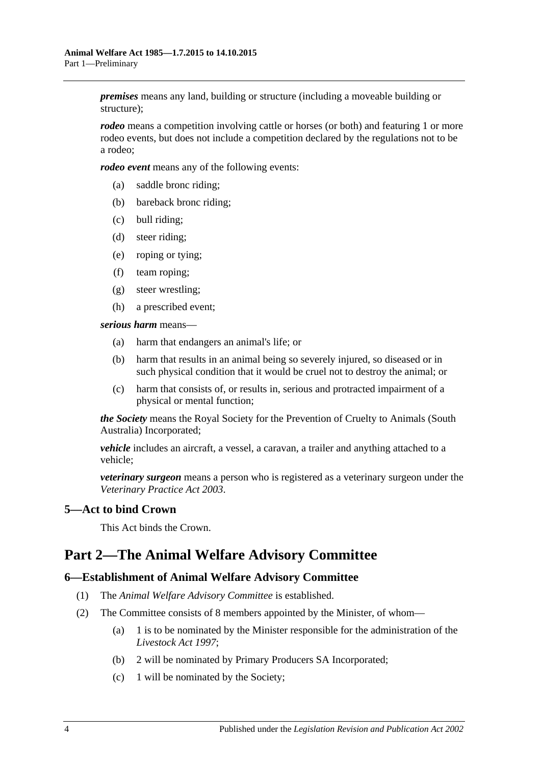*premises* means any land, building or structure (including a moveable building or structure);

*rodeo* means a competition involving cattle or horses (or both) and featuring 1 or more rodeo events, but does not include a competition declared by the regulations not to be a rodeo;

*rodeo event* means any of the following events:

- (a) saddle bronc riding;
- (b) bareback bronc riding;
- (c) bull riding;
- (d) steer riding;
- (e) roping or tying;
- (f) team roping;
- (g) steer wrestling;
- (h) a prescribed event;

*serious harm* means—

- (a) harm that endangers an animal's life; or
- (b) harm that results in an animal being so severely injured, so diseased or in such physical condition that it would be cruel not to destroy the animal; or
- (c) harm that consists of, or results in, serious and protracted impairment of a physical or mental function;

*the Society* means the Royal Society for the Prevention of Cruelty to Animals (South Australia) Incorporated;

*vehicle* includes an aircraft, a vessel, a caravan, a trailer and anything attached to a vehicle;

*veterinary surgeon* means a person who is registered as a veterinary surgeon under the *[Veterinary Practice Act](http://www.legislation.sa.gov.au/index.aspx?action=legref&type=act&legtitle=Veterinary%20Practice%20Act%202003) 2003*.

# <span id="page-3-0"></span>**5—Act to bind Crown**

This Act binds the Crown.

# <span id="page-3-1"></span>**Part 2—The Animal Welfare Advisory Committee**

### <span id="page-3-2"></span>**6—Establishment of Animal Welfare Advisory Committee**

- (1) The *Animal Welfare Advisory Committee* is established.
- (2) The Committee consists of 8 members appointed by the Minister, of whom—
	- (a) 1 is to be nominated by the Minister responsible for the administration of the *[Livestock Act](http://www.legislation.sa.gov.au/index.aspx?action=legref&type=act&legtitle=Livestock%20Act%201997) 1997*;
	- (b) 2 will be nominated by Primary Producers SA Incorporated;
	- (c) 1 will be nominated by the Society;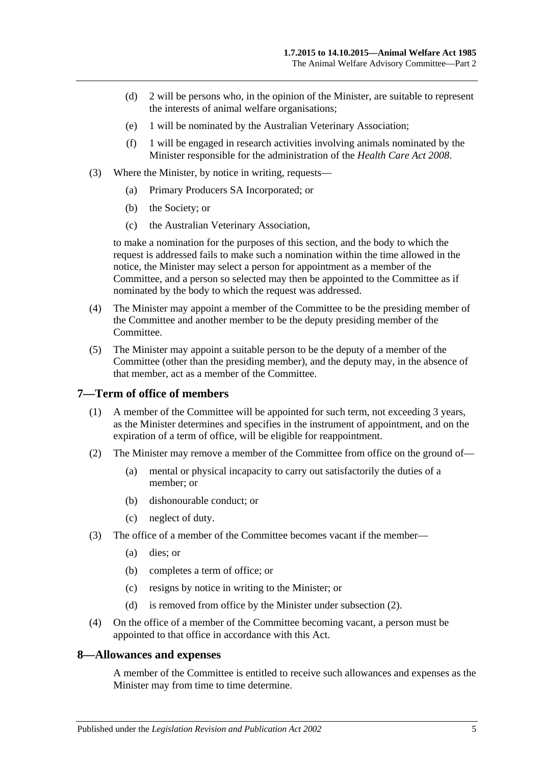- (d) 2 will be persons who, in the opinion of the Minister, are suitable to represent the interests of animal welfare organisations;
- (e) 1 will be nominated by the Australian Veterinary Association;
- (f) 1 will be engaged in research activities involving animals nominated by the Minister responsible for the administration of the *[Health Care Act](http://www.legislation.sa.gov.au/index.aspx?action=legref&type=act&legtitle=Health%20Care%20Act%202008) 2008*.
- (3) Where the Minister, by notice in writing, requests—
	- (a) Primary Producers SA Incorporated; or
	- (b) the Society; or
	- (c) the Australian Veterinary Association,

to make a nomination for the purposes of this section, and the body to which the request is addressed fails to make such a nomination within the time allowed in the notice, the Minister may select a person for appointment as a member of the Committee, and a person so selected may then be appointed to the Committee as if nominated by the body to which the request was addressed.

- (4) The Minister may appoint a member of the Committee to be the presiding member of the Committee and another member to be the deputy presiding member of the Committee.
- (5) The Minister may appoint a suitable person to be the deputy of a member of the Committee (other than the presiding member), and the deputy may, in the absence of that member, act as a member of the Committee.

### <span id="page-4-0"></span>**7—Term of office of members**

- (1) A member of the Committee will be appointed for such term, not exceeding 3 years, as the Minister determines and specifies in the instrument of appointment, and on the expiration of a term of office, will be eligible for reappointment.
- <span id="page-4-2"></span>(2) The Minister may remove a member of the Committee from office on the ground of—
	- (a) mental or physical incapacity to carry out satisfactorily the duties of a member; or
	- (b) dishonourable conduct; or
	- (c) neglect of duty.
- (3) The office of a member of the Committee becomes vacant if the member—
	- (a) dies; or
	- (b) completes a term of office; or
	- (c) resigns by notice in writing to the Minister; or
	- (d) is removed from office by the Minister under [subsection](#page-4-2) (2).
- (4) On the office of a member of the Committee becoming vacant, a person must be appointed to that office in accordance with this Act.

### <span id="page-4-1"></span>**8—Allowances and expenses**

A member of the Committee is entitled to receive such allowances and expenses as the Minister may from time to time determine.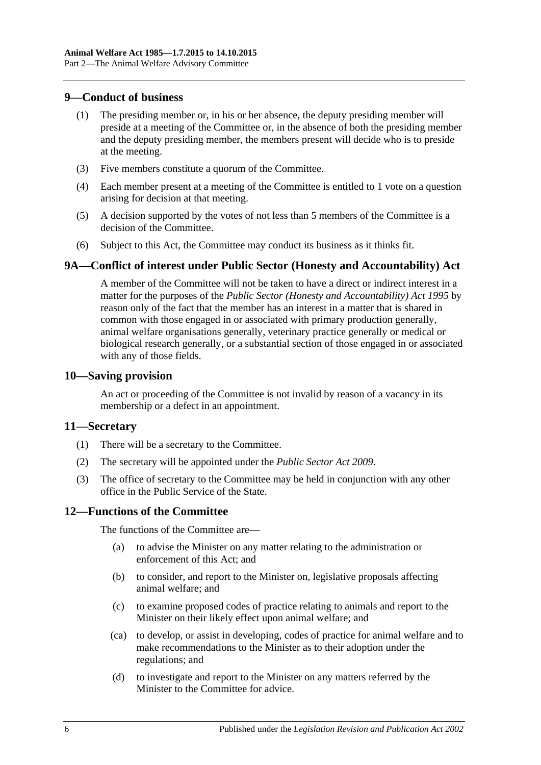### <span id="page-5-0"></span>**9—Conduct of business**

- (1) The presiding member or, in his or her absence, the deputy presiding member will preside at a meeting of the Committee or, in the absence of both the presiding member and the deputy presiding member, the members present will decide who is to preside at the meeting.
- (3) Five members constitute a quorum of the Committee.
- (4) Each member present at a meeting of the Committee is entitled to 1 vote on a question arising for decision at that meeting.
- (5) A decision supported by the votes of not less than 5 members of the Committee is a decision of the Committee.
- (6) Subject to this Act, the Committee may conduct its business as it thinks fit.

# <span id="page-5-1"></span>**9A—Conflict of interest under Public Sector (Honesty and Accountability) Act**

A member of the Committee will not be taken to have a direct or indirect interest in a matter for the purposes of the *[Public Sector \(Honesty and Accountability\) Act](http://www.legislation.sa.gov.au/index.aspx?action=legref&type=act&legtitle=Public%20Sector%20(Honesty%20and%20Accountability)%20Act%201995) 1995* by reason only of the fact that the member has an interest in a matter that is shared in common with those engaged in or associated with primary production generally, animal welfare organisations generally, veterinary practice generally or medical or biological research generally, or a substantial section of those engaged in or associated with any of those fields.

### <span id="page-5-2"></span>**10—Saving provision**

An act or proceeding of the Committee is not invalid by reason of a vacancy in its membership or a defect in an appointment.

### <span id="page-5-3"></span>**11—Secretary**

- (1) There will be a secretary to the Committee.
- (2) The secretary will be appointed under the *[Public Sector Act](http://www.legislation.sa.gov.au/index.aspx?action=legref&type=act&legtitle=Public%20Sector%20Act%202009) 2009*.
- (3) The office of secretary to the Committee may be held in conjunction with any other office in the Public Service of the State.

# <span id="page-5-4"></span>**12—Functions of the Committee**

The functions of the Committee are—

- (a) to advise the Minister on any matter relating to the administration or enforcement of this Act; and
- (b) to consider, and report to the Minister on, legislative proposals affecting animal welfare; and
- (c) to examine proposed codes of practice relating to animals and report to the Minister on their likely effect upon animal welfare; and
- (ca) to develop, or assist in developing, codes of practice for animal welfare and to make recommendations to the Minister as to their adoption under the regulations; and
- (d) to investigate and report to the Minister on any matters referred by the Minister to the Committee for advice.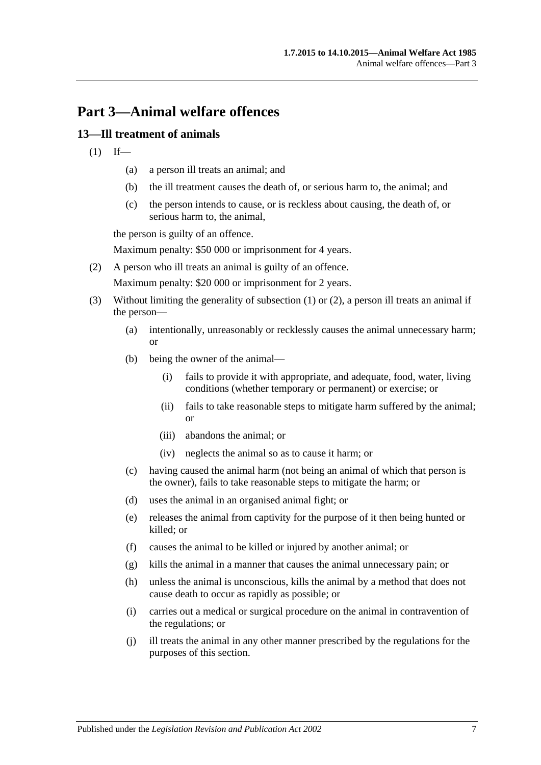# <span id="page-6-0"></span>**Part 3—Animal welfare offences**

# <span id="page-6-2"></span><span id="page-6-1"></span>**13—Ill treatment of animals**

- $(1)$  If—
	- (a) a person ill treats an animal; and
	- (b) the ill treatment causes the death of, or serious harm to, the animal; and
	- (c) the person intends to cause, or is reckless about causing, the death of, or serious harm to, the animal,

the person is guilty of an offence.

Maximum penalty: \$50 000 or imprisonment for 4 years.

<span id="page-6-3"></span>(2) A person who ill treats an animal is guilty of an offence.

Maximum penalty: \$20 000 or imprisonment for 2 years.

- (3) Without limiting the generality of [subsection](#page-6-2) (1) or [\(2\),](#page-6-3) a person ill treats an animal if the person—
	- (a) intentionally, unreasonably or recklessly causes the animal unnecessary harm; or
	- (b) being the owner of the animal—
		- (i) fails to provide it with appropriate, and adequate, food, water, living conditions (whether temporary or permanent) or exercise; or
		- (ii) fails to take reasonable steps to mitigate harm suffered by the animal; or
		- (iii) abandons the animal; or
		- (iv) neglects the animal so as to cause it harm; or
	- (c) having caused the animal harm (not being an animal of which that person is the owner), fails to take reasonable steps to mitigate the harm; or
	- (d) uses the animal in an organised animal fight; or
	- (e) releases the animal from captivity for the purpose of it then being hunted or killed; or
	- (f) causes the animal to be killed or injured by another animal; or
	- (g) kills the animal in a manner that causes the animal unnecessary pain; or
	- (h) unless the animal is unconscious, kills the animal by a method that does not cause death to occur as rapidly as possible; or
	- (i) carries out a medical or surgical procedure on the animal in contravention of the regulations; or
	- (j) ill treats the animal in any other manner prescribed by the regulations for the purposes of this section.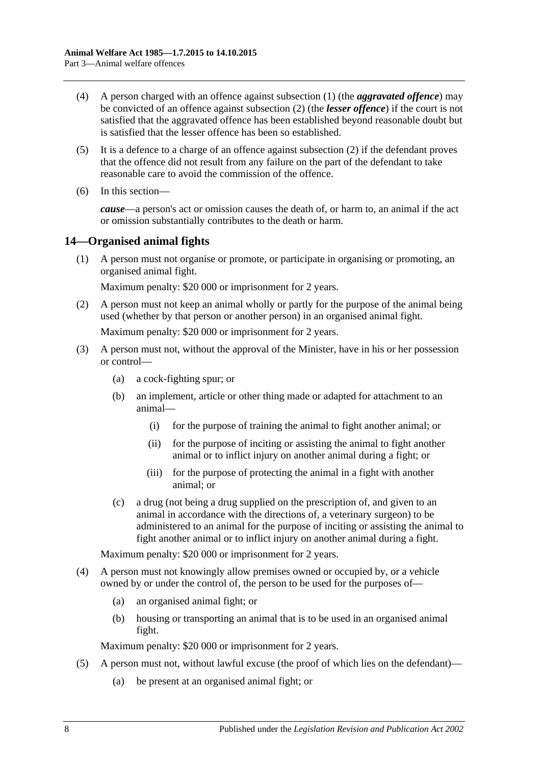- (4) A person charged with an offence against [subsection](#page-6-2) (1) (the *aggravated offence*) may be convicted of an offence against [subsection](#page-6-3) (2) (the *lesser offence*) if the court is not satisfied that the aggravated offence has been established beyond reasonable doubt but is satisfied that the lesser offence has been so established.
- (5) It is a defence to a charge of an offence against [subsection](#page-6-3) (2) if the defendant proves that the offence did not result from any failure on the part of the defendant to take reasonable care to avoid the commission of the offence.
- (6) In this section—

*cause*—a person's act or omission causes the death of, or harm to, an animal if the act or omission substantially contributes to the death or harm.

# <span id="page-7-1"></span><span id="page-7-0"></span>**14—Organised animal fights**

(1) A person must not organise or promote, or participate in organising or promoting, an organised animal fight.

Maximum penalty: \$20 000 or imprisonment for 2 years.

- <span id="page-7-2"></span>(2) A person must not keep an animal wholly or partly for the purpose of the animal being used (whether by that person or another person) in an organised animal fight. Maximum penalty: \$20 000 or imprisonment for 2 years.
- (3) A person must not, without the approval of the Minister, have in his or her possession or control—
	- (a) a cock-fighting spur; or
	- (b) an implement, article or other thing made or adapted for attachment to an animal—
		- (i) for the purpose of training the animal to fight another animal; or
		- (ii) for the purpose of inciting or assisting the animal to fight another animal or to inflict injury on another animal during a fight; or
		- (iii) for the purpose of protecting the animal in a fight with another animal; or
	- (c) a drug (not being a drug supplied on the prescription of, and given to an animal in accordance with the directions of, a veterinary surgeon) to be administered to an animal for the purpose of inciting or assisting the animal to fight another animal or to inflict injury on another animal during a fight.

Maximum penalty: \$20 000 or imprisonment for 2 years.

- <span id="page-7-3"></span>(4) A person must not knowingly allow premises owned or occupied by, or a vehicle owned by or under the control of, the person to be used for the purposes of—
	- (a) an organised animal fight; or
	- (b) housing or transporting an animal that is to be used in an organised animal fight.

Maximum penalty: \$20 000 or imprisonment for 2 years.

- (5) A person must not, without lawful excuse (the proof of which lies on the defendant)—
	- (a) be present at an organised animal fight; or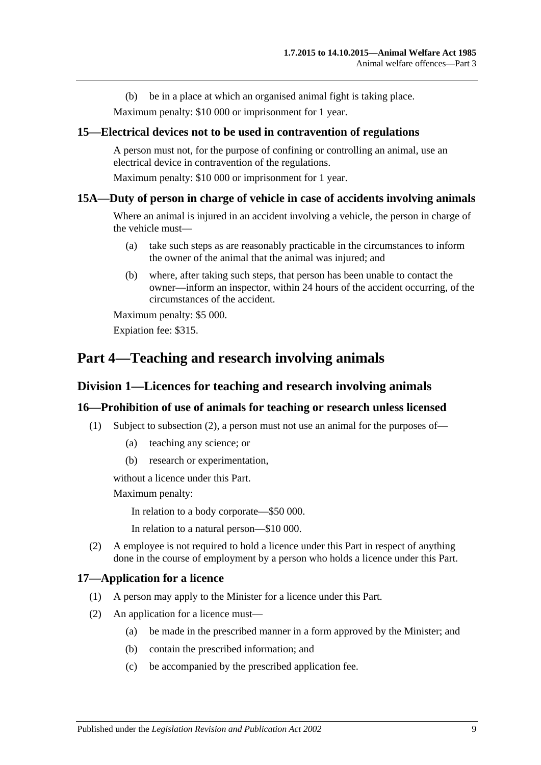(b) be in a place at which an organised animal fight is taking place.

Maximum penalty: \$10 000 or imprisonment for 1 year.

### <span id="page-8-0"></span>**15—Electrical devices not to be used in contravention of regulations**

A person must not, for the purpose of confining or controlling an animal, use an electrical device in contravention of the regulations.

Maximum penalty: \$10 000 or imprisonment for 1 year.

### <span id="page-8-1"></span>**15A—Duty of person in charge of vehicle in case of accidents involving animals**

Where an animal is injured in an accident involving a vehicle, the person in charge of the vehicle must—

- (a) take such steps as are reasonably practicable in the circumstances to inform the owner of the animal that the animal was injured; and
- (b) where, after taking such steps, that person has been unable to contact the owner—inform an inspector, within 24 hours of the accident occurring, of the circumstances of the accident.

Maximum penalty: \$5 000. Expiation fee: \$315.

# <span id="page-8-3"></span><span id="page-8-2"></span>**Part 4—Teaching and research involving animals**

### **Division 1—Licences for teaching and research involving animals**

### <span id="page-8-4"></span>**16—Prohibition of use of animals for teaching or research unless licensed**

- (1) Subject to [subsection](#page-8-6) (2), a person must not use an animal for the purposes of—
	- (a) teaching any science; or
	- (b) research or experimentation,

without a licence under this Part.

Maximum penalty:

In relation to a body corporate—\$50 000.

In relation to a natural person—\$10 000.

<span id="page-8-6"></span>(2) A employee is not required to hold a licence under this Part in respect of anything done in the course of employment by a person who holds a licence under this Part.

### <span id="page-8-5"></span>**17—Application for a licence**

- (1) A person may apply to the Minister for a licence under this Part.
- (2) An application for a licence must—
	- (a) be made in the prescribed manner in a form approved by the Minister; and
	- (b) contain the prescribed information; and
	- (c) be accompanied by the prescribed application fee.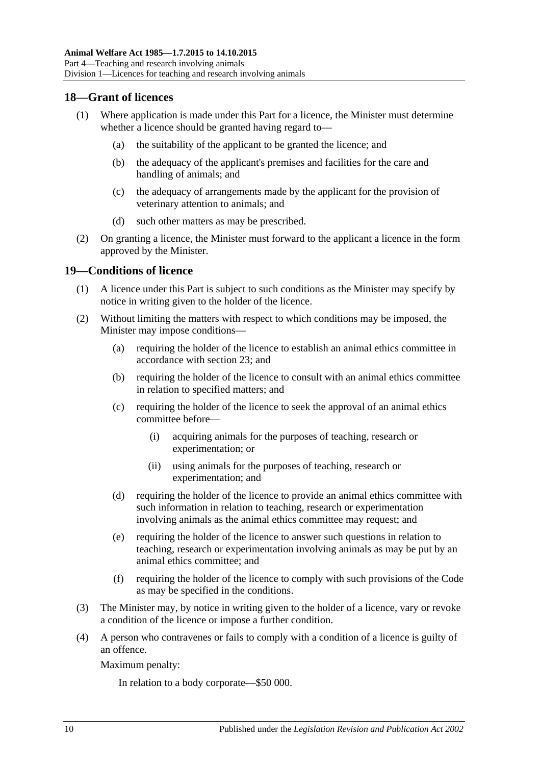### <span id="page-9-0"></span>**18—Grant of licences**

- (1) Where application is made under this Part for a licence, the Minister must determine whether a licence should be granted having regard to—
	- (a) the suitability of the applicant to be granted the licence; and
	- (b) the adequacy of the applicant's premises and facilities for the care and handling of animals; and
	- (c) the adequacy of arrangements made by the applicant for the provision of veterinary attention to animals; and
	- (d) such other matters as may be prescribed.
- (2) On granting a licence, the Minister must forward to the applicant a licence in the form approved by the Minister.

### <span id="page-9-1"></span>**19—Conditions of licence**

- (1) A licence under this Part is subject to such conditions as the Minister may specify by notice in writing given to the holder of the licence.
- (2) Without limiting the matters with respect to which conditions may be imposed, the Minister may impose conditions—
	- (a) requiring the holder of the licence to establish an animal ethics committee in accordance with [section](#page-10-4) 23; and
	- (b) requiring the holder of the licence to consult with an animal ethics committee in relation to specified matters; and
	- (c) requiring the holder of the licence to seek the approval of an animal ethics committee before—
		- (i) acquiring animals for the purposes of teaching, research or experimentation; or
		- (ii) using animals for the purposes of teaching, research or experimentation; and
	- (d) requiring the holder of the licence to provide an animal ethics committee with such information in relation to teaching, research or experimentation involving animals as the animal ethics committee may request; and
	- (e) requiring the holder of the licence to answer such questions in relation to teaching, research or experimentation involving animals as may be put by an animal ethics committee; and
	- (f) requiring the holder of the licence to comply with such provisions of the Code as may be specified in the conditions.
- (3) The Minister may, by notice in writing given to the holder of a licence, vary or revoke a condition of the licence or impose a further condition.
- (4) A person who contravenes or fails to comply with a condition of a licence is guilty of an offence.

Maximum penalty:

In relation to a body corporate—\$50 000.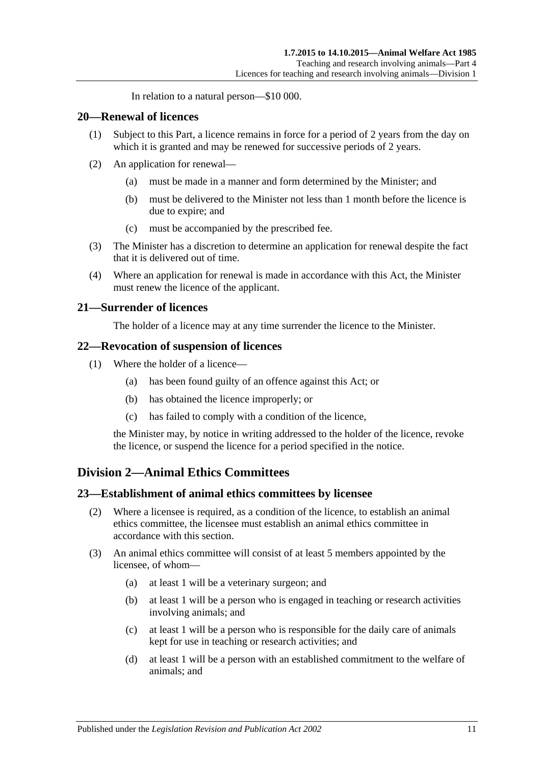In relation to a natural person—\$10 000.

### <span id="page-10-0"></span>**20—Renewal of licences**

- (1) Subject to this Part, a licence remains in force for a period of 2 years from the day on which it is granted and may be renewed for successive periods of 2 years.
- (2) An application for renewal—
	- (a) must be made in a manner and form determined by the Minister; and
	- (b) must be delivered to the Minister not less than 1 month before the licence is due to expire; and
	- (c) must be accompanied by the prescribed fee.
- (3) The Minister has a discretion to determine an application for renewal despite the fact that it is delivered out of time.
- (4) Where an application for renewal is made in accordance with this Act, the Minister must renew the licence of the applicant.

### <span id="page-10-1"></span>**21—Surrender of licences**

The holder of a licence may at any time surrender the licence to the Minister.

### <span id="page-10-2"></span>**22—Revocation of suspension of licences**

- (1) Where the holder of a licence—
	- (a) has been found guilty of an offence against this Act; or
	- (b) has obtained the licence improperly; or
	- (c) has failed to comply with a condition of the licence,

the Minister may, by notice in writing addressed to the holder of the licence, revoke the licence, or suspend the licence for a period specified in the notice.

# <span id="page-10-3"></span>**Division 2—Animal Ethics Committees**

### <span id="page-10-4"></span>**23—Establishment of animal ethics committees by licensee**

- (2) Where a licensee is required, as a condition of the licence, to establish an animal ethics committee, the licensee must establish an animal ethics committee in accordance with this section.
- <span id="page-10-9"></span><span id="page-10-8"></span><span id="page-10-7"></span><span id="page-10-6"></span><span id="page-10-5"></span>(3) An animal ethics committee will consist of at least 5 members appointed by the licensee, of whom—
	- (a) at least 1 will be a veterinary surgeon; and
	- (b) at least 1 will be a person who is engaged in teaching or research activities involving animals; and
	- (c) at least 1 will be a person who is responsible for the daily care of animals kept for use in teaching or research activities; and
	- (d) at least 1 will be a person with an established commitment to the welfare of animals; and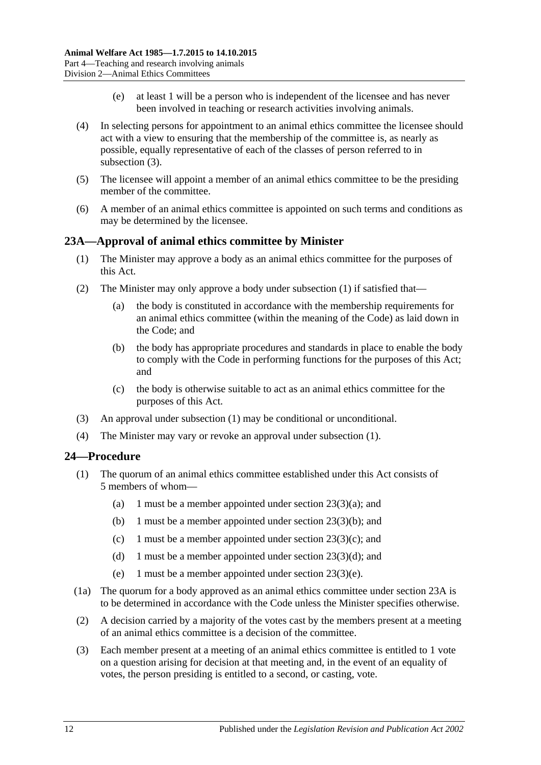- (e) at least 1 will be a person who is independent of the licensee and has never been involved in teaching or research activities involving animals.
- <span id="page-11-3"></span>(4) In selecting persons for appointment to an animal ethics committee the licensee should act with a view to ensuring that the membership of the committee is, as nearly as possible, equally representative of each of the classes of person referred to in [subsection](#page-10-5) (3).
- (5) The licensee will appoint a member of an animal ethics committee to be the presiding member of the committee.
- (6) A member of an animal ethics committee is appointed on such terms and conditions as may be determined by the licensee.

### <span id="page-11-2"></span><span id="page-11-0"></span>**23A—Approval of animal ethics committee by Minister**

- (1) The Minister may approve a body as an animal ethics committee for the purposes of this Act.
- (2) The Minister may only approve a body under [subsection](#page-11-2) (1) if satisfied that—
	- (a) the body is constituted in accordance with the membership requirements for an animal ethics committee (within the meaning of the Code) as laid down in the Code; and
	- (b) the body has appropriate procedures and standards in place to enable the body to comply with the Code in performing functions for the purposes of this Act; and
	- (c) the body is otherwise suitable to act as an animal ethics committee for the purposes of this Act.
- (3) An approval under [subsection](#page-11-2) (1) may be conditional or unconditional.
- (4) The Minister may vary or revoke an approval under [subsection](#page-11-2) (1).

# <span id="page-11-1"></span>**24—Procedure**

- (1) The quorum of an animal ethics committee established under this Act consists of 5 members of whom—
	- (a) 1 must be a member appointed under section  $23(3)(a)$ ; and
	- (b) 1 must be a member appointed under section [23\(3\)\(b\);](#page-10-7) and
	- (c) 1 must be a member appointed under section  $23(3)(c)$ ; and
	- (d) 1 must be a member appointed under section  $23(3)(d)$ ; and
	- (e) 1 must be a member appointed under section [23\(3\)\(e\).](#page-11-3)
- (1a) The quorum for a body approved as an animal ethics committee under [section](#page-11-0) 23A is to be determined in accordance with the Code unless the Minister specifies otherwise.
- (2) A decision carried by a majority of the votes cast by the members present at a meeting of an animal ethics committee is a decision of the committee.
- (3) Each member present at a meeting of an animal ethics committee is entitled to 1 vote on a question arising for decision at that meeting and, in the event of an equality of votes, the person presiding is entitled to a second, or casting, vote.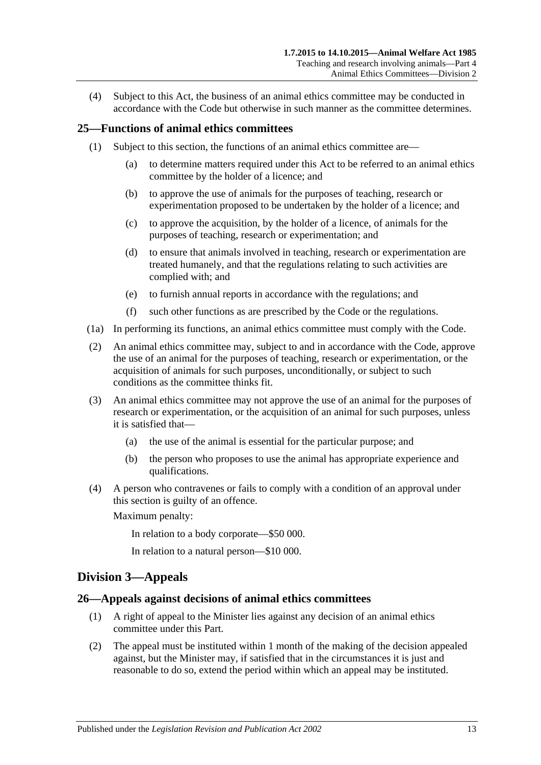(4) Subject to this Act, the business of an animal ethics committee may be conducted in accordance with the Code but otherwise in such manner as the committee determines.

# <span id="page-12-0"></span>**25—Functions of animal ethics committees**

- (1) Subject to this section, the functions of an animal ethics committee are—
	- (a) to determine matters required under this Act to be referred to an animal ethics committee by the holder of a licence; and
	- (b) to approve the use of animals for the purposes of teaching, research or experimentation proposed to be undertaken by the holder of a licence; and
	- (c) to approve the acquisition, by the holder of a licence, of animals for the purposes of teaching, research or experimentation; and
	- (d) to ensure that animals involved in teaching, research or experimentation are treated humanely, and that the regulations relating to such activities are complied with; and
	- (e) to furnish annual reports in accordance with the regulations; and
	- (f) such other functions as are prescribed by the Code or the regulations.
- (1a) In performing its functions, an animal ethics committee must comply with the Code.
- (2) An animal ethics committee may, subject to and in accordance with the Code, approve the use of an animal for the purposes of teaching, research or experimentation, or the acquisition of animals for such purposes, unconditionally, or subject to such conditions as the committee thinks fit.
- (3) An animal ethics committee may not approve the use of an animal for the purposes of research or experimentation, or the acquisition of an animal for such purposes, unless it is satisfied that—
	- (a) the use of the animal is essential for the particular purpose; and
	- (b) the person who proposes to use the animal has appropriate experience and qualifications.
- (4) A person who contravenes or fails to comply with a condition of an approval under this section is guilty of an offence.

Maximum penalty:

In relation to a body corporate—\$50 000.

In relation to a natural person—\$10 000.

# <span id="page-12-1"></span>**Division 3—Appeals**

### <span id="page-12-2"></span>**26—Appeals against decisions of animal ethics committees**

- (1) A right of appeal to the Minister lies against any decision of an animal ethics committee under this Part.
- (2) The appeal must be instituted within 1 month of the making of the decision appealed against, but the Minister may, if satisfied that in the circumstances it is just and reasonable to do so, extend the period within which an appeal may be instituted.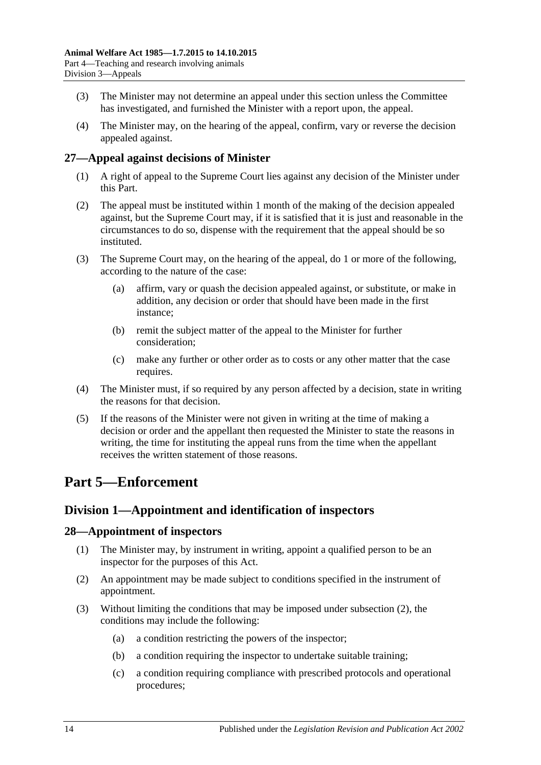- (3) The Minister may not determine an appeal under this section unless the Committee has investigated, and furnished the Minister with a report upon, the appeal.
- (4) The Minister may, on the hearing of the appeal, confirm, vary or reverse the decision appealed against.

# <span id="page-13-0"></span>**27—Appeal against decisions of Minister**

- (1) A right of appeal to the Supreme Court lies against any decision of the Minister under this Part.
- (2) The appeal must be instituted within 1 month of the making of the decision appealed against, but the Supreme Court may, if it is satisfied that it is just and reasonable in the circumstances to do so, dispense with the requirement that the appeal should be so instituted.
- (3) The Supreme Court may, on the hearing of the appeal, do 1 or more of the following, according to the nature of the case:
	- (a) affirm, vary or quash the decision appealed against, or substitute, or make in addition, any decision or order that should have been made in the first instance;
	- (b) remit the subject matter of the appeal to the Minister for further consideration;
	- (c) make any further or other order as to costs or any other matter that the case requires.
- (4) The Minister must, if so required by any person affected by a decision, state in writing the reasons for that decision.
- (5) If the reasons of the Minister were not given in writing at the time of making a decision or order and the appellant then requested the Minister to state the reasons in writing, the time for instituting the appeal runs from the time when the appellant receives the written statement of those reasons.

# <span id="page-13-1"></span>**Part 5—Enforcement**

# <span id="page-13-2"></span>**Division 1—Appointment and identification of inspectors**

# <span id="page-13-3"></span>**28—Appointment of inspectors**

- (1) The Minister may, by instrument in writing, appoint a qualified person to be an inspector for the purposes of this Act.
- <span id="page-13-4"></span>(2) An appointment may be made subject to conditions specified in the instrument of appointment.
- (3) Without limiting the conditions that may be imposed under [subsection](#page-13-4) (2), the conditions may include the following:
	- (a) a condition restricting the powers of the inspector;
	- (b) a condition requiring the inspector to undertake suitable training;
	- (c) a condition requiring compliance with prescribed protocols and operational procedures;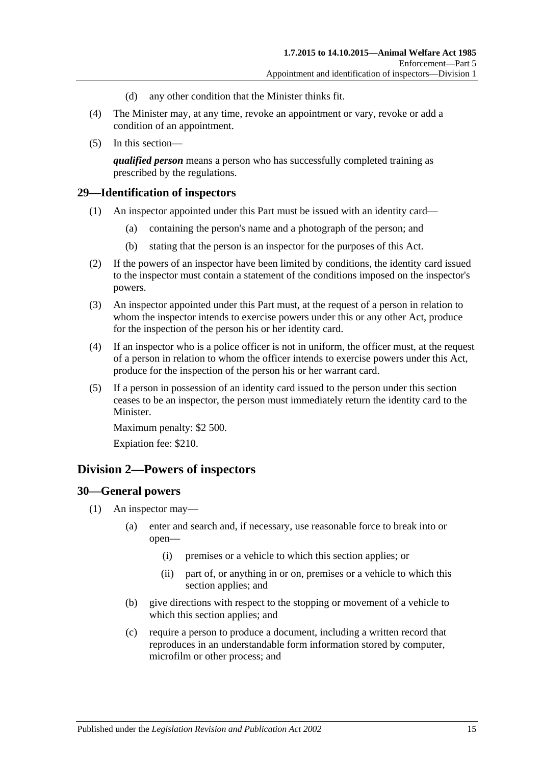- (d) any other condition that the Minister thinks fit.
- (4) The Minister may, at any time, revoke an appointment or vary, revoke or add a condition of an appointment.
- (5) In this section—

*qualified person* means a person who has successfully completed training as prescribed by the regulations.

### <span id="page-14-0"></span>**29—Identification of inspectors**

- (1) An inspector appointed under this Part must be issued with an identity card—
	- (a) containing the person's name and a photograph of the person; and
	- (b) stating that the person is an inspector for the purposes of this Act.
- (2) If the powers of an inspector have been limited by conditions, the identity card issued to the inspector must contain a statement of the conditions imposed on the inspector's powers.
- (3) An inspector appointed under this Part must, at the request of a person in relation to whom the inspector intends to exercise powers under this or any other Act, produce for the inspection of the person his or her identity card.
- (4) If an inspector who is a police officer is not in uniform, the officer must, at the request of a person in relation to whom the officer intends to exercise powers under this Act, produce for the inspection of the person his or her warrant card.
- (5) If a person in possession of an identity card issued to the person under this section ceases to be an inspector, the person must immediately return the identity card to the Minister.

Maximum penalty: \$2 500.

Expiation fee: \$210.

# <span id="page-14-1"></span>**Division 2—Powers of inspectors**

### <span id="page-14-3"></span><span id="page-14-2"></span>**30—General powers**

- <span id="page-14-4"></span>(1) An inspector may—
	- (a) enter and search and, if necessary, use reasonable force to break into or open—
		- (i) premises or a vehicle to which this section applies; or
		- (ii) part of, or anything in or on, premises or a vehicle to which this section applies; and
	- (b) give directions with respect to the stopping or movement of a vehicle to which this section applies; and
	- (c) require a person to produce a document, including a written record that reproduces in an understandable form information stored by computer, microfilm or other process; and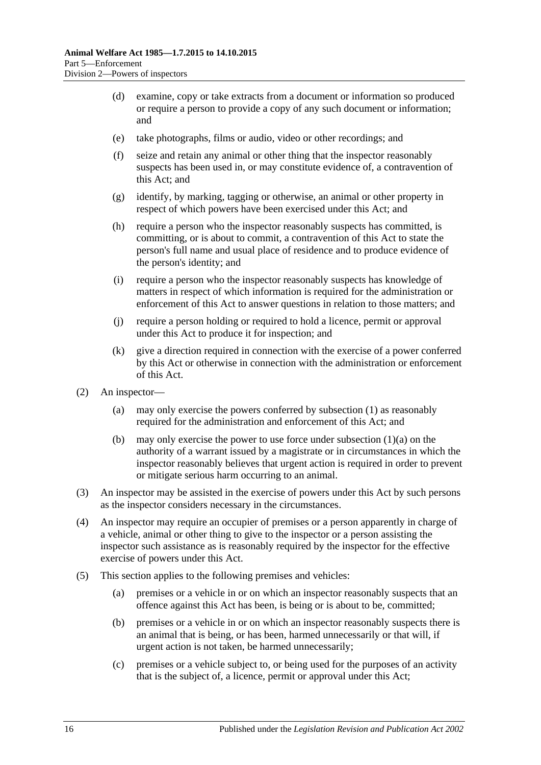- (d) examine, copy or take extracts from a document or information so produced or require a person to provide a copy of any such document or information; and
- (e) take photographs, films or audio, video or other recordings; and
- (f) seize and retain any animal or other thing that the inspector reasonably suspects has been used in, or may constitute evidence of, a contravention of this Act; and
- (g) identify, by marking, tagging or otherwise, an animal or other property in respect of which powers have been exercised under this Act; and
- (h) require a person who the inspector reasonably suspects has committed, is committing, or is about to commit, a contravention of this Act to state the person's full name and usual place of residence and to produce evidence of the person's identity; and
- (i) require a person who the inspector reasonably suspects has knowledge of matters in respect of which information is required for the administration or enforcement of this Act to answer questions in relation to those matters; and
- (j) require a person holding or required to hold a licence, permit or approval under this Act to produce it for inspection; and
- (k) give a direction required in connection with the exercise of a power conferred by this Act or otherwise in connection with the administration or enforcement of this Act.
- (2) An inspector—
	- (a) may only exercise the powers conferred by [subsection](#page-14-3) (1) as reasonably required for the administration and enforcement of this Act; and
	- (b) may only exercise the power to use force under [subsection](#page-14-4)  $(1)(a)$  on the authority of a warrant issued by a magistrate or in circumstances in which the inspector reasonably believes that urgent action is required in order to prevent or mitigate serious harm occurring to an animal.
- (3) An inspector may be assisted in the exercise of powers under this Act by such persons as the inspector considers necessary in the circumstances.
- (4) An inspector may require an occupier of premises or a person apparently in charge of a vehicle, animal or other thing to give to the inspector or a person assisting the inspector such assistance as is reasonably required by the inspector for the effective exercise of powers under this Act.
- (5) This section applies to the following premises and vehicles:
	- (a) premises or a vehicle in or on which an inspector reasonably suspects that an offence against this Act has been, is being or is about to be, committed;
	- (b) premises or a vehicle in or on which an inspector reasonably suspects there is an animal that is being, or has been, harmed unnecessarily or that will, if urgent action is not taken, be harmed unnecessarily;
	- (c) premises or a vehicle subject to, or being used for the purposes of an activity that is the subject of, a licence, permit or approval under this Act;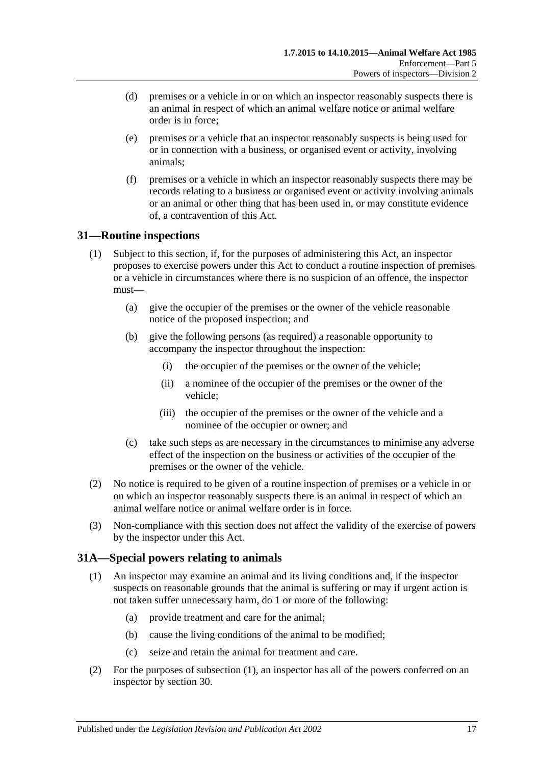- (d) premises or a vehicle in or on which an inspector reasonably suspects there is an animal in respect of which an animal welfare notice or animal welfare order is in force;
- (e) premises or a vehicle that an inspector reasonably suspects is being used for or in connection with a business, or organised event or activity, involving animals;
- (f) premises or a vehicle in which an inspector reasonably suspects there may be records relating to a business or organised event or activity involving animals or an animal or other thing that has been used in, or may constitute evidence of, a contravention of this Act.

# <span id="page-16-0"></span>**31—Routine inspections**

- (1) Subject to this section, if, for the purposes of administering this Act, an inspector proposes to exercise powers under this Act to conduct a routine inspection of premises or a vehicle in circumstances where there is no suspicion of an offence, the inspector must—
	- (a) give the occupier of the premises or the owner of the vehicle reasonable notice of the proposed inspection; and
	- (b) give the following persons (as required) a reasonable opportunity to accompany the inspector throughout the inspection:
		- (i) the occupier of the premises or the owner of the vehicle;
		- (ii) a nominee of the occupier of the premises or the owner of the vehicle;
		- (iii) the occupier of the premises or the owner of the vehicle and a nominee of the occupier or owner; and
	- (c) take such steps as are necessary in the circumstances to minimise any adverse effect of the inspection on the business or activities of the occupier of the premises or the owner of the vehicle.
- (2) No notice is required to be given of a routine inspection of premises or a vehicle in or on which an inspector reasonably suspects there is an animal in respect of which an animal welfare notice or animal welfare order is in force.
- (3) Non-compliance with this section does not affect the validity of the exercise of powers by the inspector under this Act.

# <span id="page-16-2"></span><span id="page-16-1"></span>**31A—Special powers relating to animals**

- (1) An inspector may examine an animal and its living conditions and, if the inspector suspects on reasonable grounds that the animal is suffering or may if urgent action is not taken suffer unnecessary harm, do 1 or more of the following:
	- (a) provide treatment and care for the animal;
	- (b) cause the living conditions of the animal to be modified;
	- (c) seize and retain the animal for treatment and care.
- (2) For the purposes of [subsection](#page-16-2) (1), an inspector has all of the powers conferred on an inspector by [section](#page-14-2) 30.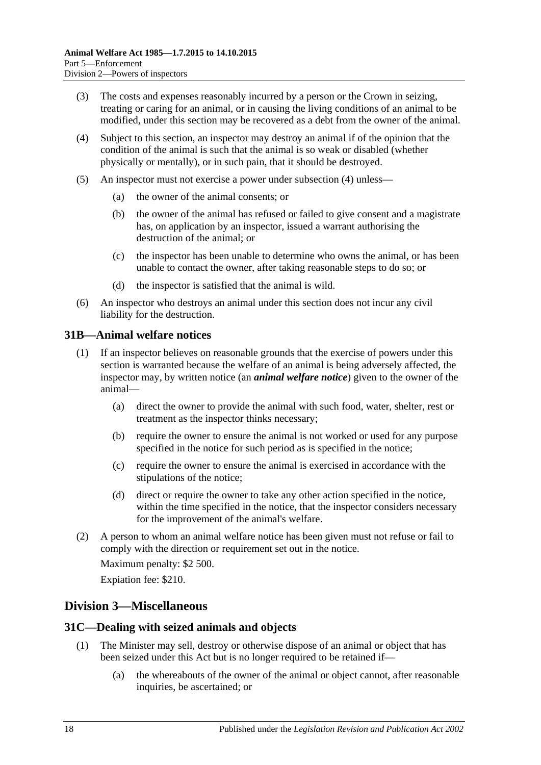- (3) The costs and expenses reasonably incurred by a person or the Crown in seizing, treating or caring for an animal, or in causing the living conditions of an animal to be modified, under this section may be recovered as a debt from the owner of the animal.
- <span id="page-17-3"></span>(4) Subject to this section, an inspector may destroy an animal if of the opinion that the condition of the animal is such that the animal is so weak or disabled (whether physically or mentally), or in such pain, that it should be destroyed.
- (5) An inspector must not exercise a power under [subsection](#page-17-3) (4) unless—
	- (a) the owner of the animal consents; or
	- (b) the owner of the animal has refused or failed to give consent and a magistrate has, on application by an inspector, issued a warrant authorising the destruction of the animal; or
	- (c) the inspector has been unable to determine who owns the animal, or has been unable to contact the owner, after taking reasonable steps to do so; or
	- (d) the inspector is satisfied that the animal is wild.
- (6) An inspector who destroys an animal under this section does not incur any civil liability for the destruction.

### <span id="page-17-0"></span>**31B—Animal welfare notices**

- (1) If an inspector believes on reasonable grounds that the exercise of powers under this section is warranted because the welfare of an animal is being adversely affected, the inspector may, by written notice (an *animal welfare notice*) given to the owner of the animal—
	- (a) direct the owner to provide the animal with such food, water, shelter, rest or treatment as the inspector thinks necessary;
	- (b) require the owner to ensure the animal is not worked or used for any purpose specified in the notice for such period as is specified in the notice;
	- (c) require the owner to ensure the animal is exercised in accordance with the stipulations of the notice;
	- (d) direct or require the owner to take any other action specified in the notice, within the time specified in the notice, that the inspector considers necessary for the improvement of the animal's welfare.
- (2) A person to whom an animal welfare notice has been given must not refuse or fail to comply with the direction or requirement set out in the notice.

Maximum penalty: \$2 500.

Expiation fee: \$210.

# <span id="page-17-1"></span>**Division 3—Miscellaneous**

### <span id="page-17-2"></span>**31C—Dealing with seized animals and objects**

- (1) The Minister may sell, destroy or otherwise dispose of an animal or object that has been seized under this Act but is no longer required to be retained if—
	- (a) the whereabouts of the owner of the animal or object cannot, after reasonable inquiries, be ascertained; or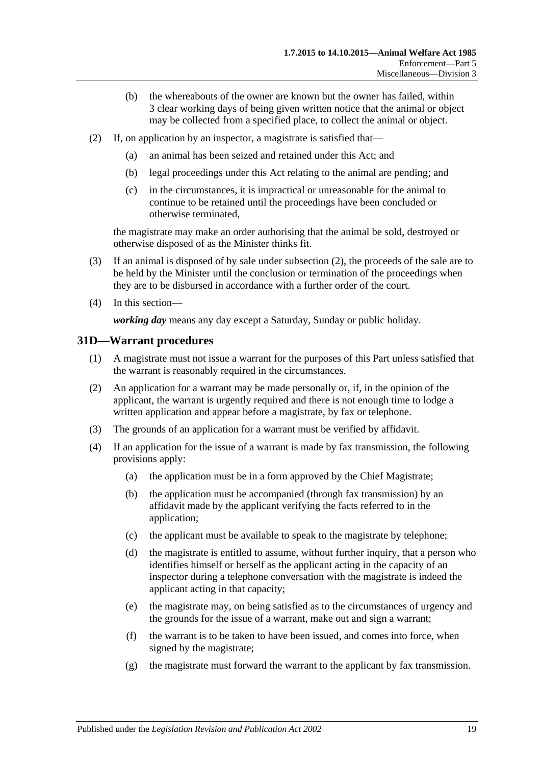- (b) the whereabouts of the owner are known but the owner has failed, within 3 clear working days of being given written notice that the animal or object may be collected from a specified place, to collect the animal or object.
- <span id="page-18-1"></span>(2) If, on application by an inspector, a magistrate is satisfied that—
	- (a) an animal has been seized and retained under this Act; and
	- (b) legal proceedings under this Act relating to the animal are pending; and
	- (c) in the circumstances, it is impractical or unreasonable for the animal to continue to be retained until the proceedings have been concluded or otherwise terminated,

the magistrate may make an order authorising that the animal be sold, destroyed or otherwise disposed of as the Minister thinks fit.

- (3) If an animal is disposed of by sale under [subsection](#page-18-1) (2), the proceeds of the sale are to be held by the Minister until the conclusion or termination of the proceedings when they are to be disbursed in accordance with a further order of the court.
- (4) In this section—

*working day* means any day except a Saturday, Sunday or public holiday.

# <span id="page-18-0"></span>**31D—Warrant procedures**

- (1) A magistrate must not issue a warrant for the purposes of this Part unless satisfied that the warrant is reasonably required in the circumstances.
- (2) An application for a warrant may be made personally or, if, in the opinion of the applicant, the warrant is urgently required and there is not enough time to lodge a written application and appear before a magistrate, by fax or telephone.
- (3) The grounds of an application for a warrant must be verified by affidavit.
- (4) If an application for the issue of a warrant is made by fax transmission, the following provisions apply:
	- (a) the application must be in a form approved by the Chief Magistrate;
	- (b) the application must be accompanied (through fax transmission) by an affidavit made by the applicant verifying the facts referred to in the application;
	- (c) the applicant must be available to speak to the magistrate by telephone;
	- (d) the magistrate is entitled to assume, without further inquiry, that a person who identifies himself or herself as the applicant acting in the capacity of an inspector during a telephone conversation with the magistrate is indeed the applicant acting in that capacity;
	- (e) the magistrate may, on being satisfied as to the circumstances of urgency and the grounds for the issue of a warrant, make out and sign a warrant;
	- (f) the warrant is to be taken to have been issued, and comes into force, when signed by the magistrate;
	- (g) the magistrate must forward the warrant to the applicant by fax transmission.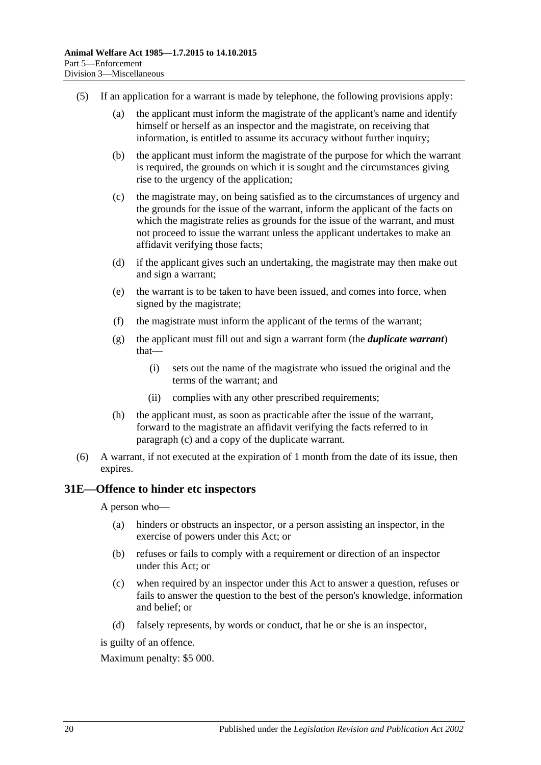- <span id="page-19-1"></span>(5) If an application for a warrant is made by telephone, the following provisions apply:
	- (a) the applicant must inform the magistrate of the applicant's name and identify himself or herself as an inspector and the magistrate, on receiving that information, is entitled to assume its accuracy without further inquiry;
	- (b) the applicant must inform the magistrate of the purpose for which the warrant is required, the grounds on which it is sought and the circumstances giving rise to the urgency of the application;
	- (c) the magistrate may, on being satisfied as to the circumstances of urgency and the grounds for the issue of the warrant, inform the applicant of the facts on which the magistrate relies as grounds for the issue of the warrant, and must not proceed to issue the warrant unless the applicant undertakes to make an affidavit verifying those facts;
	- (d) if the applicant gives such an undertaking, the magistrate may then make out and sign a warrant;
	- (e) the warrant is to be taken to have been issued, and comes into force, when signed by the magistrate;
	- (f) the magistrate must inform the applicant of the terms of the warrant;
	- (g) the applicant must fill out and sign a warrant form (the *duplicate warrant*) that—
		- (i) sets out the name of the magistrate who issued the original and the terms of the warrant; and
		- (ii) complies with any other prescribed requirements;
	- (h) the applicant must, as soon as practicable after the issue of the warrant, forward to the magistrate an affidavit verifying the facts referred to in [paragraph](#page-19-1) (c) and a copy of the duplicate warrant.
- (6) A warrant, if not executed at the expiration of 1 month from the date of its issue, then expires.

# <span id="page-19-0"></span>**31E—Offence to hinder etc inspectors**

A person who—

- (a) hinders or obstructs an inspector, or a person assisting an inspector, in the exercise of powers under this Act; or
- (b) refuses or fails to comply with a requirement or direction of an inspector under this Act; or
- (c) when required by an inspector under this Act to answer a question, refuses or fails to answer the question to the best of the person's knowledge, information and belief; or
- (d) falsely represents, by words or conduct, that he or she is an inspector,

is guilty of an offence.

Maximum penalty: \$5 000.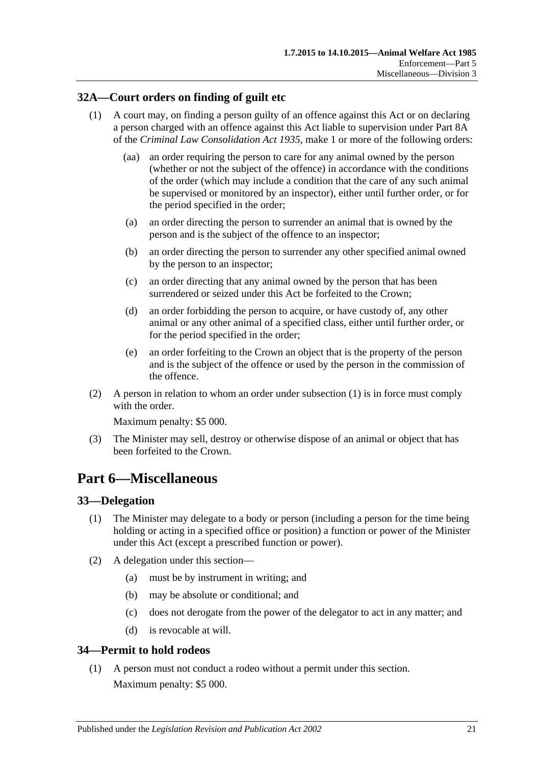# <span id="page-20-4"></span><span id="page-20-0"></span>**32A—Court orders on finding of guilt etc**

- (1) A court may, on finding a person guilty of an offence against this Act or on declaring a person charged with an offence against this Act liable to supervision under Part 8A of the *[Criminal Law Consolidation Act](http://www.legislation.sa.gov.au/index.aspx?action=legref&type=act&legtitle=Criminal%20Law%20Consolidation%20Act%201935) 1935*, make 1 or more of the following orders:
	- (aa) an order requiring the person to care for any animal owned by the person (whether or not the subject of the offence) in accordance with the conditions of the order (which may include a condition that the care of any such animal be supervised or monitored by an inspector), either until further order, or for the period specified in the order;
	- (a) an order directing the person to surrender an animal that is owned by the person and is the subject of the offence to an inspector;
	- (b) an order directing the person to surrender any other specified animal owned by the person to an inspector;
	- (c) an order directing that any animal owned by the person that has been surrendered or seized under this Act be forfeited to the Crown;
	- (d) an order forbidding the person to acquire, or have custody of, any other animal or any other animal of a specified class, either until further order, or for the period specified in the order;
	- (e) an order forfeiting to the Crown an object that is the property of the person and is the subject of the offence or used by the person in the commission of the offence.
- (2) A person in relation to whom an order under [subsection](#page-20-4) (1) is in force must comply with the order

Maximum penalty: \$5 000.

(3) The Minister may sell, destroy or otherwise dispose of an animal or object that has been forfeited to the Crown.

# <span id="page-20-1"></span>**Part 6—Miscellaneous**

# <span id="page-20-2"></span>**33—Delegation**

- (1) The Minister may delegate to a body or person (including a person for the time being holding or acting in a specified office or position) a function or power of the Minister under this Act (except a prescribed function or power).
- (2) A delegation under this section—
	- (a) must be by instrument in writing; and
	- (b) may be absolute or conditional; and
	- (c) does not derogate from the power of the delegator to act in any matter; and
	- (d) is revocable at will.

# <span id="page-20-3"></span>**34—Permit to hold rodeos**

(1) A person must not conduct a rodeo without a permit under this section. Maximum penalty: \$5 000.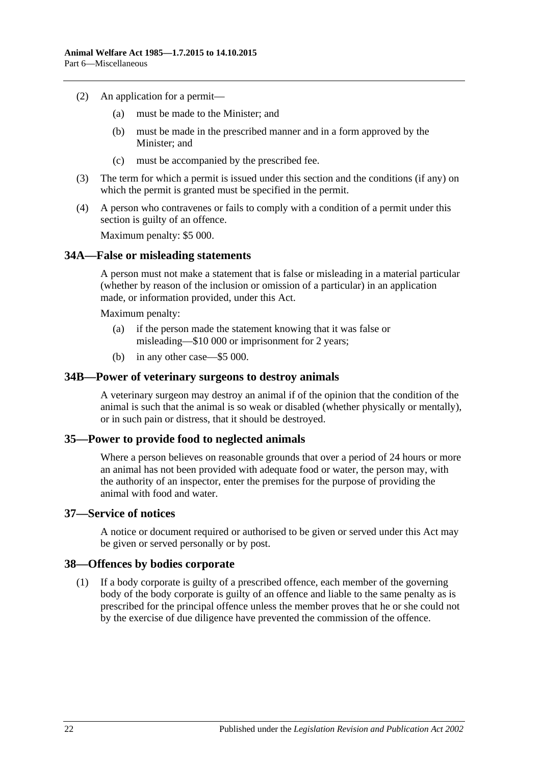- (2) An application for a permit—
	- (a) must be made to the Minister; and
	- (b) must be made in the prescribed manner and in a form approved by the Minister; and
	- (c) must be accompanied by the prescribed fee.
- (3) The term for which a permit is issued under this section and the conditions (if any) on which the permit is granted must be specified in the permit.
- (4) A person who contravenes or fails to comply with a condition of a permit under this section is guilty of an offence.

Maximum penalty: \$5 000.

### <span id="page-21-0"></span>**34A—False or misleading statements**

A person must not make a statement that is false or misleading in a material particular (whether by reason of the inclusion or omission of a particular) in an application made, or information provided, under this Act.

Maximum penalty:

- (a) if the person made the statement knowing that it was false or misleading—\$10 000 or imprisonment for 2 years;
- (b) in any other case—\$5 000.

### <span id="page-21-1"></span>**34B—Power of veterinary surgeons to destroy animals**

A veterinary surgeon may destroy an animal if of the opinion that the condition of the animal is such that the animal is so weak or disabled (whether physically or mentally), or in such pain or distress, that it should be destroyed.

### <span id="page-21-2"></span>**35—Power to provide food to neglected animals**

Where a person believes on reasonable grounds that over a period of 24 hours or more an animal has not been provided with adequate food or water, the person may, with the authority of an inspector, enter the premises for the purpose of providing the animal with food and water.

# <span id="page-21-3"></span>**37—Service of notices**

A notice or document required or authorised to be given or served under this Act may be given or served personally or by post.

### <span id="page-21-4"></span>**38—Offences by bodies corporate**

(1) If a body corporate is guilty of a prescribed offence, each member of the governing body of the body corporate is guilty of an offence and liable to the same penalty as is prescribed for the principal offence unless the member proves that he or she could not by the exercise of due diligence have prevented the commission of the offence.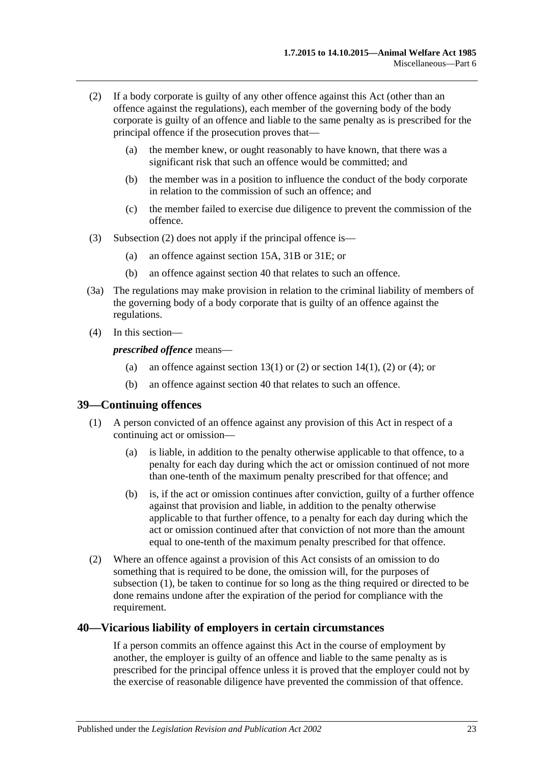- <span id="page-22-2"></span>(2) If a body corporate is guilty of any other offence against this Act (other than an offence against the regulations), each member of the governing body of the body corporate is guilty of an offence and liable to the same penalty as is prescribed for the principal offence if the prosecution proves that—
	- (a) the member knew, or ought reasonably to have known, that there was a significant risk that such an offence would be committed; and
	- (b) the member was in a position to influence the conduct of the body corporate in relation to the commission of such an offence; and
	- (c) the member failed to exercise due diligence to prevent the commission of the offence.
- (3) [Subsection](#page-22-2) (2) does not apply if the principal offence is—
	- (a) an offence against [section](#page-8-1) 15A, [31B](#page-17-0) or [31E;](#page-19-0) or
	- (b) an offence against [section](#page-22-1) 40 that relates to such an offence.
- (3a) The regulations may make provision in relation to the criminal liability of members of the governing body of a body corporate that is guilty of an offence against the regulations.
- (4) In this section—

*prescribed offence* means—

- (a) an offence against [section](#page-7-1) 13(1) or [\(2\)](#page-7-2) or section 14(1), (2) or [\(4\);](#page-7-3) or
- (b) an offence against [section](#page-22-1) 40 that relates to such an offence.

### <span id="page-22-3"></span><span id="page-22-0"></span>**39—Continuing offences**

- (1) A person convicted of an offence against any provision of this Act in respect of a continuing act or omission—
	- (a) is liable, in addition to the penalty otherwise applicable to that offence, to a penalty for each day during which the act or omission continued of not more than one-tenth of the maximum penalty prescribed for that offence; and
	- (b) is, if the act or omission continues after conviction, guilty of a further offence against that provision and liable, in addition to the penalty otherwise applicable to that further offence, to a penalty for each day during which the act or omission continued after that conviction of not more than the amount equal to one-tenth of the maximum penalty prescribed for that offence.
- (2) Where an offence against a provision of this Act consists of an omission to do something that is required to be done, the omission will, for the purposes of [subsection](#page-22-3) (1), be taken to continue for so long as the thing required or directed to be done remains undone after the expiration of the period for compliance with the requirement.

### <span id="page-22-1"></span>**40—Vicarious liability of employers in certain circumstances**

If a person commits an offence against this Act in the course of employment by another, the employer is guilty of an offence and liable to the same penalty as is prescribed for the principal offence unless it is proved that the employer could not by the exercise of reasonable diligence have prevented the commission of that offence.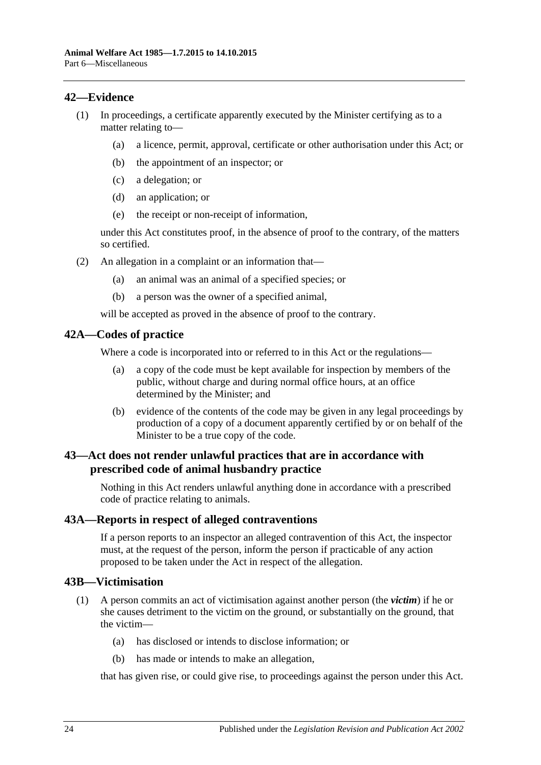# <span id="page-23-0"></span>**42—Evidence**

- (1) In proceedings, a certificate apparently executed by the Minister certifying as to a matter relating to—
	- (a) a licence, permit, approval, certificate or other authorisation under this Act; or
	- (b) the appointment of an inspector; or
	- (c) a delegation; or
	- (d) an application; or
	- (e) the receipt or non-receipt of information,

under this Act constitutes proof, in the absence of proof to the contrary, of the matters so certified.

- (2) An allegation in a complaint or an information that—
	- (a) an animal was an animal of a specified species; or
	- (b) a person was the owner of a specified animal,

will be accepted as proved in the absence of proof to the contrary.

### <span id="page-23-1"></span>**42A—Codes of practice**

Where a code is incorporated into or referred to in this Act or the regulations—

- (a) a copy of the code must be kept available for inspection by members of the public, without charge and during normal office hours, at an office determined by the Minister; and
- (b) evidence of the contents of the code may be given in any legal proceedings by production of a copy of a document apparently certified by or on behalf of the Minister to be a true copy of the code.

# <span id="page-23-2"></span>**43—Act does not render unlawful practices that are in accordance with prescribed code of animal husbandry practice**

Nothing in this Act renders unlawful anything done in accordance with a prescribed code of practice relating to animals.

# <span id="page-23-3"></span>**43A—Reports in respect of alleged contraventions**

If a person reports to an inspector an alleged contravention of this Act, the inspector must, at the request of the person, inform the person if practicable of any action proposed to be taken under the Act in respect of the allegation.

# <span id="page-23-4"></span>**43B—Victimisation**

- (1) A person commits an act of victimisation against another person (the *victim*) if he or she causes detriment to the victim on the ground, or substantially on the ground, that the victim—
	- (a) has disclosed or intends to disclose information; or
	- (b) has made or intends to make an allegation,

that has given rise, or could give rise, to proceedings against the person under this Act.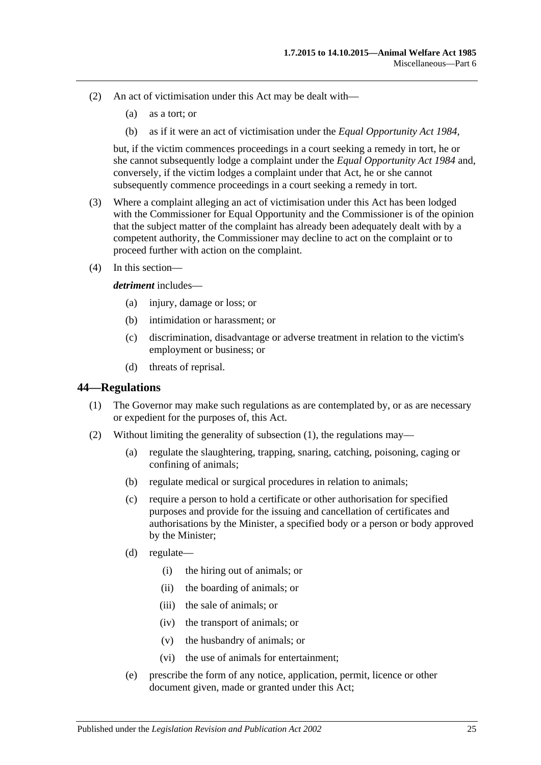- (2) An act of victimisation under this Act may be dealt with—
	- (a) as a tort; or
	- (b) as if it were an act of victimisation under the *[Equal Opportunity Act](http://www.legislation.sa.gov.au/index.aspx?action=legref&type=act&legtitle=Equal%20Opportunity%20Act%201984) 1984*,

but, if the victim commences proceedings in a court seeking a remedy in tort, he or she cannot subsequently lodge a complaint under the *[Equal Opportunity Act](http://www.legislation.sa.gov.au/index.aspx?action=legref&type=act&legtitle=Equal%20Opportunity%20Act%201984) 1984* and, conversely, if the victim lodges a complaint under that Act, he or she cannot subsequently commence proceedings in a court seeking a remedy in tort.

- (3) Where a complaint alleging an act of victimisation under this Act has been lodged with the Commissioner for Equal Opportunity and the Commissioner is of the opinion that the subject matter of the complaint has already been adequately dealt with by a competent authority, the Commissioner may decline to act on the complaint or to proceed further with action on the complaint.
- (4) In this section—

#### *detriment* includes—

- (a) injury, damage or loss; or
- (b) intimidation or harassment; or
- (c) discrimination, disadvantage or adverse treatment in relation to the victim's employment or business; or
- (d) threats of reprisal.

### <span id="page-24-1"></span><span id="page-24-0"></span>**44—Regulations**

- (1) The Governor may make such regulations as are contemplated by, or as are necessary or expedient for the purposes of, this Act.
- (2) Without limiting the generality of [subsection](#page-24-1) (1), the regulations may—
	- (a) regulate the slaughtering, trapping, snaring, catching, poisoning, caging or confining of animals;
	- (b) regulate medical or surgical procedures in relation to animals;
	- (c) require a person to hold a certificate or other authorisation for specified purposes and provide for the issuing and cancellation of certificates and authorisations by the Minister, a specified body or a person or body approved by the Minister;
	- (d) regulate—
		- (i) the hiring out of animals; or
		- (ii) the boarding of animals; or
		- (iii) the sale of animals; or
		- (iv) the transport of animals; or
		- (v) the husbandry of animals; or
		- (vi) the use of animals for entertainment;
	- (e) prescribe the form of any notice, application, permit, licence or other document given, made or granted under this Act;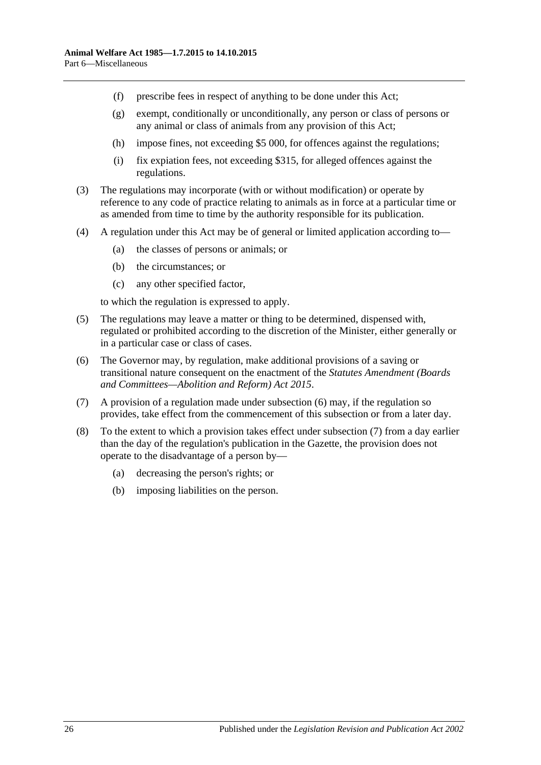- (f) prescribe fees in respect of anything to be done under this Act;
- (g) exempt, conditionally or unconditionally, any person or class of persons or any animal or class of animals from any provision of this Act;
- (h) impose fines, not exceeding \$5 000, for offences against the regulations;
- (i) fix expiation fees, not exceeding \$315, for alleged offences against the regulations.
- (3) The regulations may incorporate (with or without modification) or operate by reference to any code of practice relating to animals as in force at a particular time or as amended from time to time by the authority responsible for its publication.
- (4) A regulation under this Act may be of general or limited application according to—
	- (a) the classes of persons or animals; or
	- (b) the circumstances; or
	- (c) any other specified factor,

to which the regulation is expressed to apply.

- (5) The regulations may leave a matter or thing to be determined, dispensed with, regulated or prohibited according to the discretion of the Minister, either generally or in a particular case or class of cases.
- <span id="page-25-0"></span>(6) The Governor may, by regulation, make additional provisions of a saving or transitional nature consequent on the enactment of the *[Statutes Amendment \(Boards](http://www.legislation.sa.gov.au/index.aspx?action=legref&type=act&legtitle=Statutes%20Amendment%20(Boards%20and%20Committees%E2%80%94Abolition%20and%20Reform)%20Act%202015)  [and Committees—Abolition and Reform\) Act](http://www.legislation.sa.gov.au/index.aspx?action=legref&type=act&legtitle=Statutes%20Amendment%20(Boards%20and%20Committees%E2%80%94Abolition%20and%20Reform)%20Act%202015) 2015*.
- <span id="page-25-1"></span>(7) A provision of a regulation made under [subsection](#page-25-0) (6) may, if the regulation so provides, take effect from the commencement of this subsection or from a later day.
- (8) To the extent to which a provision takes effect under [subsection](#page-25-1) (7) from a day earlier than the day of the regulation's publication in the Gazette, the provision does not operate to the disadvantage of a person by—
	- (a) decreasing the person's rights; or
	- (b) imposing liabilities on the person.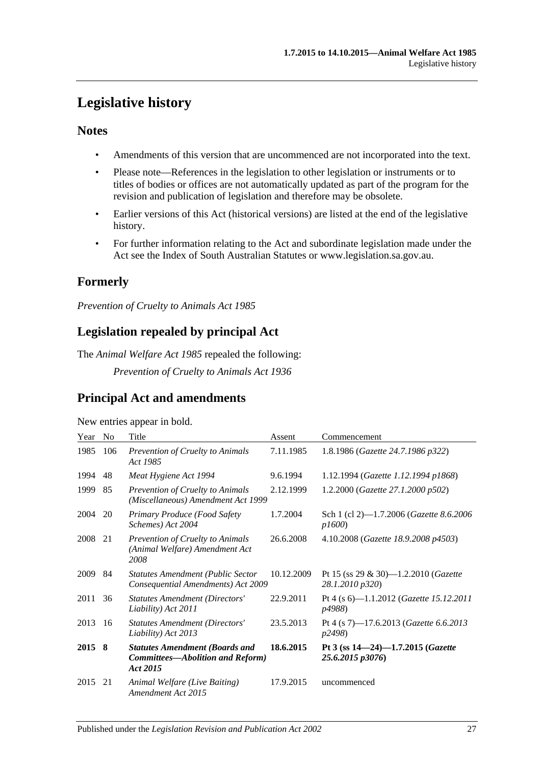# <span id="page-26-0"></span>**Legislative history**

# **Notes**

- Amendments of this version that are uncommenced are not incorporated into the text.
- Please note—References in the legislation to other legislation or instruments or to titles of bodies or offices are not automatically updated as part of the program for the revision and publication of legislation and therefore may be obsolete.
- Earlier versions of this Act (historical versions) are listed at the end of the legislative history.
- For further information relating to the Act and subordinate legislation made under the Act see the Index of South Australian Statutes or www.legislation.sa.gov.au.

# **Formerly**

*Prevention of Cruelty to Animals Act 1985*

# **Legislation repealed by principal Act**

The *Animal Welfare Act 1985* repealed the following:

*Prevention of Cruelty to Animals Act 1936*

# **Principal Act and amendments**

### New entries appear in bold.

| Year | N <sub>0</sub> | Title                                                                                 | Assent     | Commencement                                                     |
|------|----------------|---------------------------------------------------------------------------------------|------------|------------------------------------------------------------------|
| 1985 | 106            | Prevention of Cruelty to Animals<br>Act 1985                                          | 7.11.1985  | 1.8.1986 (Gazette 24.7.1986 p322)                                |
| 1994 | 48             | Meat Hygiene Act 1994                                                                 | 9.6.1994   | 1.12.1994 (Gazette 1.12.1994 p1868)                              |
| 1999 | 85             | <b>Prevention of Cruelty to Animals</b><br>(Miscellaneous) Amendment Act 1999         | 2.12.1999  | 1.2.2000 (Gazette 27.1.2000 p502)                                |
| 2004 | 20             | Primary Produce (Food Safety<br>Schemes) Act 2004                                     | 1.7.2004   | Sch 1 (cl 2)-1.7.2006 (Gazette 8.6.2006<br>p1600                 |
| 2008 | 21             | Prevention of Cruelty to Animals<br>(Animal Welfare) Amendment Act<br>2008            | 26.6.2008  | 4.10.2008 (Gazette 18.9.2008 p4503)                              |
| 2009 | 84             | <b>Statutes Amendment (Public Sector</b><br>Consequential Amendments) Act 2009        | 10.12.2009 | Pt 15 (ss 29 & 30)-1.2.2010 (Gazette<br>28.1.2010 p320)          |
| 2011 | 36             | <b>Statutes Amendment (Directors'</b><br>Liability) Act 2011                          | 22.9.2011  | Pt 4 (s 6)-1.1.2012 (Gazette 15.12.2011<br>p4988)                |
| 2013 | 16             | <b>Statutes Amendment (Directors'</b><br>Liability) Act 2013                          | 23.5.2013  | Pt 4 (s 7)-17.6.2013 (Gazette 6.6.2013<br>p2498)                 |
| 2015 | -8             | <b>Statutes Amendment (Boards and</b><br>Committees-Abolition and Reform)<br>Act 2015 | 18.6.2015  | Pt 3 (ss $14-24$ )-1.7.2015 ( <i>Gazette</i><br>25.6.2015 p3076) |
| 2015 | 21             | Animal Welfare (Live Baiting)<br>Amendment Act 2015                                   | 17.9.2015  | uncommenced                                                      |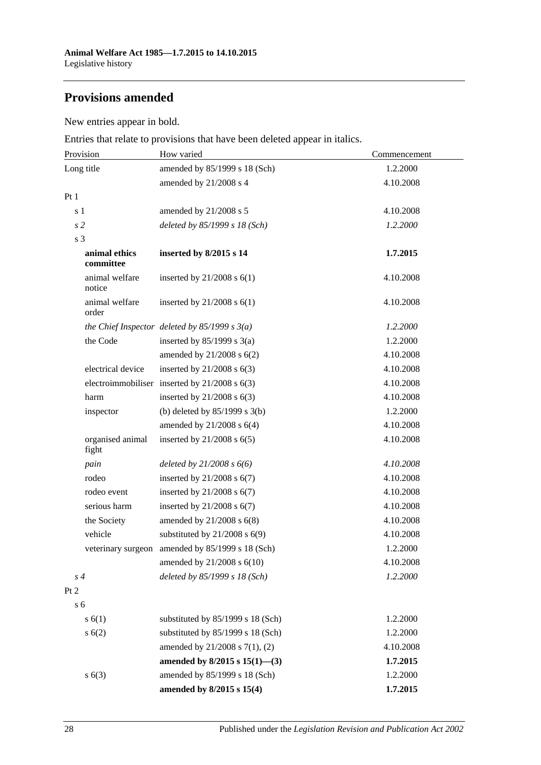# **Provisions amended**

New entries appear in bold.

Entries that relate to provisions that have been deleted appear in italics.

| Provision                  | How varied                                        | Commencement |
|----------------------------|---------------------------------------------------|--------------|
| Long title                 | amended by 85/1999 s 18 (Sch)                     | 1.2.2000     |
|                            | amended by 21/2008 s 4                            | 4.10.2008    |
| Pt1                        |                                                   |              |
| s <sub>1</sub>             | amended by 21/2008 s 5                            | 4.10.2008    |
| s <sub>2</sub>             | deleted by 85/1999 s 18 (Sch)                     | 1.2.2000     |
| s <sub>3</sub>             |                                                   |              |
| animal ethics<br>committee | inserted by 8/2015 s 14                           | 1.7.2015     |
| animal welfare<br>notice   | inserted by $21/2008$ s $6(1)$                    | 4.10.2008    |
| animal welfare<br>order    | inserted by $21/2008$ s $6(1)$                    | 4.10.2008    |
|                            | the Chief Inspector deleted by $85/1999 s 3(a)$   | 1.2.2000     |
| the Code                   | inserted by $85/1999$ s 3(a)                      | 1.2.2000     |
|                            | amended by $21/2008$ s $6(2)$                     | 4.10.2008    |
| electrical device          | inserted by $21/2008$ s $6(3)$                    | 4.10.2008    |
|                            | electroimmobiliser inserted by $21/2008$ s $6(3)$ | 4.10.2008    |
| harm                       | inserted by $21/2008$ s $6(3)$                    | 4.10.2008    |
| inspector                  | (b) deleted by $85/1999$ s $3(b)$                 | 1.2.2000     |
|                            | amended by $21/2008$ s $6(4)$                     | 4.10.2008    |
| organised animal<br>fight  | inserted by $21/2008$ s $6(5)$                    | 4.10.2008    |
| pain                       | deleted by $21/2008 s 6(6)$                       | 4.10.2008    |
| rodeo                      | inserted by $21/2008$ s $6(7)$                    | 4.10.2008    |
| rodeo event                | inserted by $21/2008$ s $6(7)$                    | 4.10.2008    |
| serious harm               | inserted by $21/2008$ s $6(7)$                    | 4.10.2008    |
| the Society                | amended by 21/2008 s 6(8)                         | 4.10.2008    |
| vehicle                    | substituted by $21/2008$ s $6(9)$                 | 4.10.2008    |
|                            | veterinary surgeon amended by 85/1999 s 18 (Sch)  | 1.2.2000     |
|                            | amended by 21/2008 s 6(10)                        | 4.10.2008    |
| s <sub>4</sub>             | deleted by 85/1999 s 18 (Sch)                     | 1.2.2000     |
| Pt 2                       |                                                   |              |
| s <sub>6</sub>             |                                                   |              |
| s(6(1))                    | substituted by 85/1999 s 18 (Sch)                 | 1.2.2000     |
| s(6(2))                    | substituted by 85/1999 s 18 (Sch)                 | 1.2.2000     |
|                            | amended by $21/2008$ s $7(1)$ , (2)               | 4.10.2008    |
|                            | amended by $8/2015$ s $15(1)$ —(3)                | 1.7.2015     |
| s(6(3))                    | amended by 85/1999 s 18 (Sch)                     | 1.2.2000     |
|                            | amended by 8/2015 s 15(4)                         | 1.7.2015     |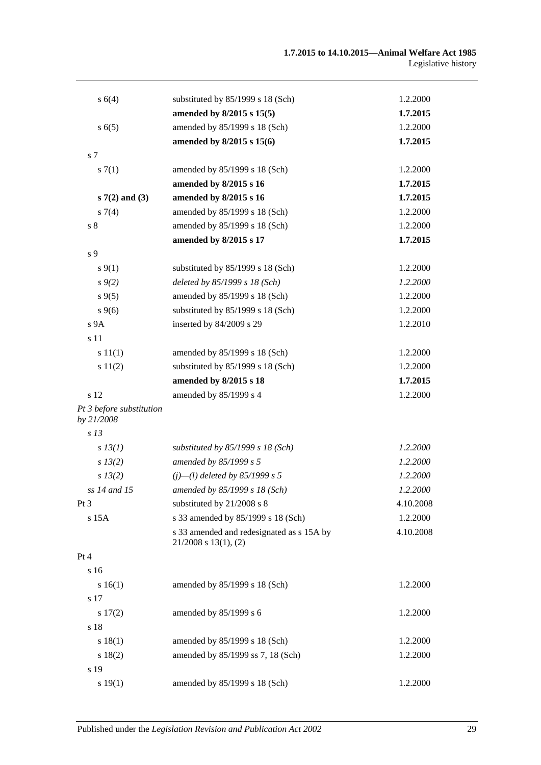| s 6(4)                                 | substituted by 85/1999 s 18 (Sch)                                      | 1.2.2000  |
|----------------------------------------|------------------------------------------------------------------------|-----------|
|                                        | amended by 8/2015 s 15(5)                                              | 1.7.2015  |
| s(5)                                   | amended by 85/1999 s 18 (Sch)                                          | 1.2.2000  |
|                                        | amended by 8/2015 s 15(6)                                              | 1.7.2015  |
| s 7                                    |                                                                        |           |
| s(7(1)                                 | amended by 85/1999 s 18 (Sch)                                          | 1.2.2000  |
|                                        | amended by 8/2015 s 16                                                 | 1.7.2015  |
| $s7(2)$ and (3)                        | amended by 8/2015 s 16                                                 | 1.7.2015  |
| $s \, 7(4)$                            | amended by 85/1999 s 18 (Sch)                                          | 1.2.2000  |
| s <sub>8</sub>                         | amended by 85/1999 s 18 (Sch)                                          | 1.2.2000  |
|                                        | amended by 8/2015 s 17                                                 | 1.7.2015  |
| s 9                                    |                                                                        |           |
| $s \, 9(1)$                            | substituted by 85/1999 s 18 (Sch)                                      | 1.2.2000  |
| $s \, 9(2)$                            | deleted by 85/1999 s 18 (Sch)                                          | 1.2.2000  |
| $s \, 9(5)$                            | amended by 85/1999 s 18 (Sch)                                          | 1.2.2000  |
| $s \, 9(6)$                            | substituted by 85/1999 s 18 (Sch)                                      | 1.2.2000  |
| s 9A                                   | inserted by 84/2009 s 29                                               | 1.2.2010  |
| s 11                                   |                                                                        |           |
| s 11(1)                                | amended by 85/1999 s 18 (Sch)                                          | 1.2.2000  |
| s 11(2)                                | substituted by 85/1999 s 18 (Sch)                                      | 1.2.2000  |
|                                        | amended by 8/2015 s 18                                                 | 1.7.2015  |
| s 12                                   | amended by 85/1999 s 4                                                 | 1.2.2000  |
| Pt 3 before substitution<br>by 21/2008 |                                                                        |           |
| s <sub>13</sub>                        |                                                                        |           |
| $s$ 13(1)                              | substituted by $85/1999 s 18$ (Sch)                                    | 1.2.2000  |
| $s\,13(2)$                             | amended by 85/1999 s 5                                                 | 1.2.2000  |
| s 13(2)                                | $(i)$ — $(l)$ deleted by 85/1999 s 5                                   | 1.2.2000  |
| ss 14 and 15                           | amended by 85/1999 s 18 (Sch)                                          | 1.2.2000  |
| Pt 3                                   | substituted by 21/2008 s 8                                             | 4.10.2008 |
| s 15A                                  | s 33 amended by 85/1999 s 18 (Sch)                                     | 1.2.2000  |
|                                        | s 33 amended and redesignated as s 15A by<br>$21/2008$ s $13(1)$ , (2) | 4.10.2008 |
| Pt 4                                   |                                                                        |           |
| s 16                                   |                                                                        |           |
| s 16(1)                                | amended by 85/1999 s 18 (Sch)                                          | 1.2.2000  |
| s 17                                   |                                                                        |           |
| s 17(2)                                | amended by 85/1999 s 6                                                 | 1.2.2000  |
| s 18                                   |                                                                        |           |
| s 18(1)                                | amended by 85/1999 s 18 (Sch)                                          | 1.2.2000  |
| s 18(2)                                | amended by 85/1999 ss 7, 18 (Sch)                                      | 1.2.2000  |
| s 19                                   |                                                                        |           |
| s 19(1)                                | amended by 85/1999 s 18 (Sch)                                          | 1.2.2000  |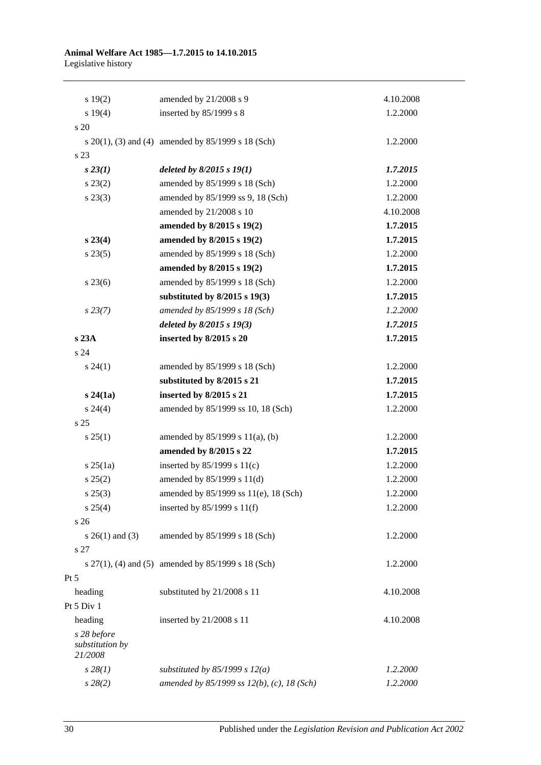#### **Animal Welfare Act 1985—1.7.2015 to 14.10.2015** Legislative history

| 19(2)                                     | amended by 21/2008 s 9                                  | 4.10.2008 |
|-------------------------------------------|---------------------------------------------------------|-----------|
| s 19(4)                                   | inserted by 85/1999 s 8                                 | 1.2.2000  |
| s 20                                      |                                                         |           |
|                                           | s $20(1)$ , (3) and (4) amended by $85/1999$ s 18 (Sch) | 1.2.2000  |
| s 23                                      |                                                         |           |
| $s\,23(1)$                                | deleted by $8/2015 s 19(1)$                             | 1.7.2015  |
| $s\,23(2)$                                | amended by 85/1999 s 18 (Sch)                           | 1.2.2000  |
| $s\,23(3)$                                | amended by 85/1999 ss 9, 18 (Sch)                       | 1.2.2000  |
|                                           | amended by 21/2008 s 10                                 | 4.10.2008 |
|                                           | amended by 8/2015 s 19(2)                               | 1.7.2015  |
| $s\,23(4)$                                | amended by 8/2015 s 19(2)                               | 1.7.2015  |
| $s\,23(5)$                                | amended by 85/1999 s 18 (Sch)                           | 1.2.2000  |
|                                           | amended by 8/2015 s 19(2)                               | 1.7.2015  |
| $s\,23(6)$                                | amended by 85/1999 s 18 (Sch)                           | 1.2.2000  |
|                                           | substituted by $8/2015$ s $19(3)$                       | 1.7.2015  |
| $s\,23(7)$                                | amended by 85/1999 s 18 (Sch)                           | 1.2.2000  |
|                                           | deleted by $8/2015 s 19(3)$                             | 1.7.2015  |
| s 23A                                     | inserted by 8/2015 s 20                                 | 1.7.2015  |
| s 24                                      |                                                         |           |
| $s\,24(1)$                                | amended by 85/1999 s 18 (Sch)                           | 1.2.2000  |
|                                           | substituted by 8/2015 s 21                              | 1.7.2015  |
| $s\,24(1a)$                               | inserted by 8/2015 s 21                                 | 1.7.2015  |
| $s\,24(4)$                                | amended by 85/1999 ss 10, 18 (Sch)                      | 1.2.2000  |
| s 25                                      |                                                         |           |
| $s \, 25(1)$                              | amended by $85/1999$ s $11(a)$ , (b)                    | 1.2.2000  |
|                                           | amended by 8/2015 s 22                                  | 1.7.2015  |
| $s \, 25(1a)$                             | inserted by $85/1999$ s $11(c)$                         | 1.2.2000  |
| s 25(2)                                   | amended by $85/1999$ s $11(d)$                          | 1.2.2000  |
| $s\,25(3)$                                | amended by 85/1999 ss 11(e), 18 (Sch)                   | 1.2.2000  |
| $s \; 25(4)$                              | inserted by $85/1999$ s $11(f)$                         | 1.2.2000  |
| s 26                                      |                                                         |           |
| $s \; 26(1)$ and (3)                      | amended by 85/1999 s 18 (Sch)                           | 1.2.2000  |
| s 27                                      |                                                         |           |
|                                           | s $27(1)$ , (4) and (5) amended by $85/1999$ s 18 (Sch) | 1.2.2000  |
| Pt 5                                      |                                                         |           |
| heading                                   | substituted by 21/2008 s 11                             | 4.10.2008 |
| Pt 5 Div 1                                |                                                         |           |
| heading                                   | inserted by 21/2008 s 11                                | 4.10.2008 |
| s 28 before<br>substitution by<br>21/2008 |                                                         |           |
| $s\,28(1)$                                | substituted by $85/1999$ s $12(a)$                      | 1.2.2000  |
| $s\,28(2)$                                | amended by 85/1999 ss 12(b), (c), 18 (Sch)              | 1.2.2000  |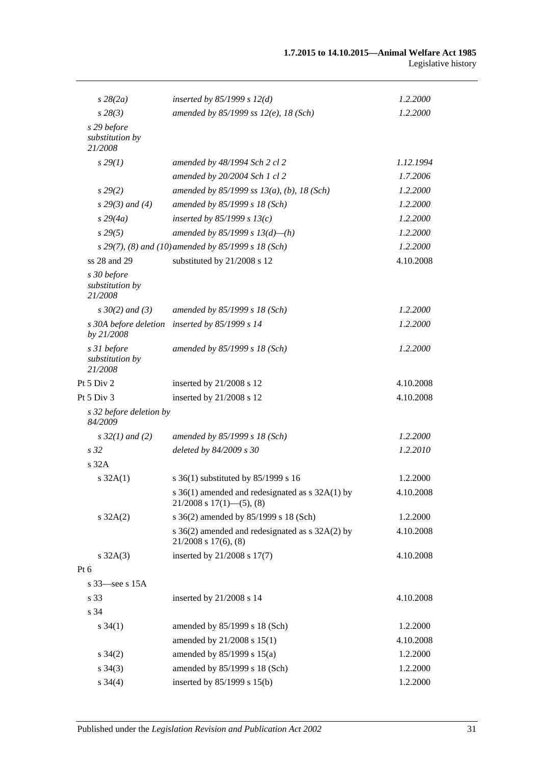| $s\,28(2a)$                               | inserted by $85/1999 s 12(d)$                                                    | 1.2.2000  |
|-------------------------------------------|----------------------------------------------------------------------------------|-----------|
| $s\,28(3)$                                | amended by 85/1999 ss $12(e)$ , 18 (Sch)                                         | 1.2.2000  |
| s 29 before<br>substitution by<br>21/2008 |                                                                                  |           |
| $s\,29(1)$                                | amended by 48/1994 Sch 2 cl 2                                                    | 1.12.1994 |
|                                           | amended by 20/2004 Sch 1 cl 2                                                    | 1.7.2006  |
| $s\,29(2)$                                | amended by $85/1999$ ss $13(a)$ , (b), 18 (Sch)                                  | 1.2.2000  |
| $s$ 29(3) and (4)                         | amended by 85/1999 s 18 (Sch)                                                    | 1.2.2000  |
| $s\,29(4a)$                               | inserted by $85/1999 s 13(c)$                                                    | 1.2.2000  |
| $s\,29(5)$                                | amended by 85/1999 s $13(d)$ —(h)                                                | 1.2.2000  |
|                                           | s 29(7), (8) and (10) amended by 85/1999 s 18 (Sch)                              | 1.2.2000  |
| ss 28 and 29                              | substituted by 21/2008 s 12                                                      | 4.10.2008 |
| s 30 before<br>substitution by<br>21/2008 |                                                                                  |           |
| $s \, 30(2)$ and (3)                      | amended by 85/1999 s 18 (Sch)                                                    | 1.2.2000  |
| s 30A before deletion<br>by 21/2008       | inserted by 85/1999 s 14                                                         | 1.2.2000  |
| s 31 before<br>substitution by<br>21/2008 | amended by 85/1999 s 18 (Sch)                                                    | 1.2.2000  |
| Pt 5 Div 2                                | inserted by 21/2008 s 12                                                         | 4.10.2008 |
| Pt 5 Div 3                                | inserted by 21/2008 s 12                                                         | 4.10.2008 |
| s 32 before deletion by<br>84/2009        |                                                                                  |           |
| $s \, 32(1)$ and (2)                      | amended by 85/1999 s 18 (Sch)                                                    | 1.2.2000  |
| s <sub>32</sub>                           | deleted by 84/2009 s 30                                                          | 1.2.2010  |
| s <sub>32A</sub>                          |                                                                                  |           |
| $s \, 32A(1)$                             | s 36(1) substituted by 85/1999 s 16                                              | 1.2.2000  |
|                                           | s 36(1) amended and redesignated as s 32A(1) by<br>$21/2008$ s $17(1)$ —(5), (8) | 4.10.2008 |
| $s \, 32A(2)$                             | s 36(2) amended by 85/1999 s 18 (Sch)                                            | 1.2.2000  |
|                                           | s 36(2) amended and redesignated as s 32A(2) by<br>$21/2008$ s $17(6)$ , $(8)$   | 4.10.2008 |
| $s \, 32A(3)$                             | inserted by 21/2008 s 17(7)                                                      | 4.10.2008 |
| Pt $6$                                    |                                                                                  |           |
| s 33—see s 15A                            |                                                                                  |           |
| s 33                                      | inserted by 21/2008 s 14                                                         | 4.10.2008 |
| s 34                                      |                                                                                  |           |
| $s \, 34(1)$                              | amended by 85/1999 s 18 (Sch)                                                    | 1.2.2000  |
|                                           | amended by 21/2008 s 15(1)                                                       | 4.10.2008 |
| $s \; 34(2)$                              | amended by $85/1999$ s $15(a)$                                                   | 1.2.2000  |
| $s \; 34(3)$                              | amended by 85/1999 s 18 (Sch)                                                    | 1.2.2000  |
| $s \; 34(4)$                              | inserted by 85/1999 s 15(b)                                                      | 1.2.2000  |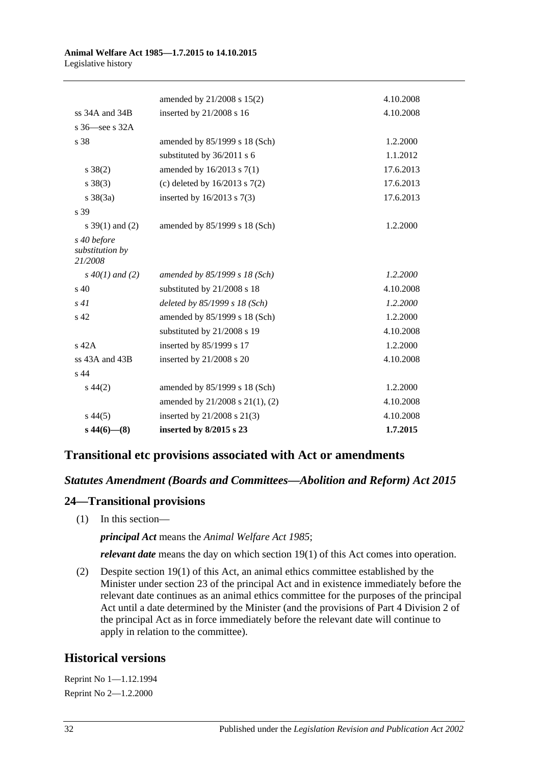#### **Animal Welfare Act 1985—1.7.2015 to 14.10.2015** Legislative history

|                                           | amended by 21/2008 s 15(2)        | 4.10.2008 |
|-------------------------------------------|-----------------------------------|-----------|
| ss 34A and 34B                            | inserted by 21/2008 s 16          | 4.10.2008 |
| s 36—see s 32A                            |                                   |           |
| s 38                                      | amended by 85/1999 s 18 (Sch)     | 1.2.2000  |
|                                           | substituted by 36/2011 s 6        | 1.1.2012  |
| $s \ 38(2)$                               | amended by $16/2013$ s $7(1)$     | 17.6.2013 |
| $s \ 38(3)$                               | (c) deleted by $16/2013$ s $7(2)$ | 17.6.2013 |
| $s \ 38(3a)$                              | inserted by $16/2013$ s $7(3)$    | 17.6.2013 |
| s 39                                      |                                   |           |
| s $39(1)$ and (2)                         | amended by 85/1999 s 18 (Sch)     | 1.2.2000  |
| s 40 before<br>substitution by<br>21/2008 |                                   |           |
| $s\,40(1)$ and (2)                        | amended by 85/1999 s 18 (Sch)     | 1.2.2000  |
| s 40                                      | substituted by 21/2008 s 18       | 4.10.2008 |
| s41                                       | deleted by $85/1999 s 18$ (Sch)   | 1.2.2000  |
| s <sub>42</sub>                           | amended by 85/1999 s 18 (Sch)     | 1.2.2000  |
|                                           | substituted by 21/2008 s 19       | 4.10.2008 |
| s 42A                                     | inserted by 85/1999 s 17          | 1.2.2000  |
| ss 43A and 43B                            | inserted by 21/2008 s 20          | 4.10.2008 |
| s <sub>44</sub>                           |                                   |           |
| $s\,44(2)$                                | amended by 85/1999 s 18 (Sch)     | 1.2.2000  |
|                                           | amended by 21/2008 s 21(1), (2)   | 4.10.2008 |
| $s\,44(5)$                                | inserted by 21/2008 s 21(3)       | 4.10.2008 |
| $s\,44(6)$ - (8)                          | inserted by $8/2015$ s 23         | 1.7.2015  |
|                                           |                                   |           |

# **Transitional etc provisions associated with Act or amendments**

# *Statutes Amendment (Boards and Committees—Abolition and Reform) Act 2015*

# **24—Transitional provisions**

(1) In this section—

*principal Act* means the *[Animal Welfare Act](http://www.legislation.sa.gov.au/index.aspx?action=legref&type=act&legtitle=Animal%20Welfare%20Act%201985) 1985*;

*relevant date* means the day on which section 19(1) of this Act comes into operation.

(2) Despite section 19(1) of this Act, an animal ethics committee established by the Minister under section 23 of the principal Act and in existence immediately before the relevant date continues as an animal ethics committee for the purposes of the principal Act until a date determined by the Minister (and the provisions of Part 4 Division 2 of the principal Act as in force immediately before the relevant date will continue to apply in relation to the committee).

# **Historical versions**

Reprint No 1—1.12.1994 Reprint No 2—1.2.2000